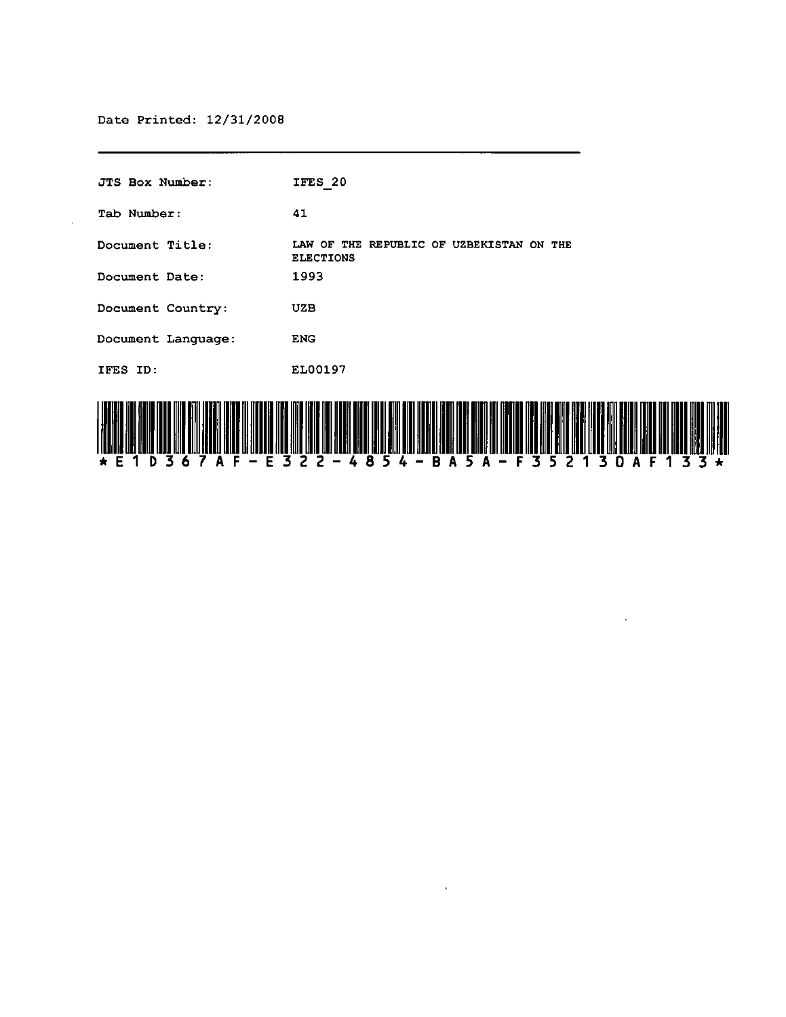$\alpha$ 

| JTS Box Number:    | IFES 20                                                      |
|--------------------|--------------------------------------------------------------|
| Tab Number:        | 41                                                           |
| Document Title:    | LAW OF THE REPUBLIC OF UZBEKISTAN ON THE<br><b>ELECTIONS</b> |
| Document Date:     | 1993                                                         |
| Document Country:  | UZB                                                          |
| Document Language: | <b>ENG</b>                                                   |
| IFES ID:           | EL00197                                                      |
|                    |                                                              |



 $\sim 10^{11}$  km  $^{-1}$ 

 $\sim 10^7$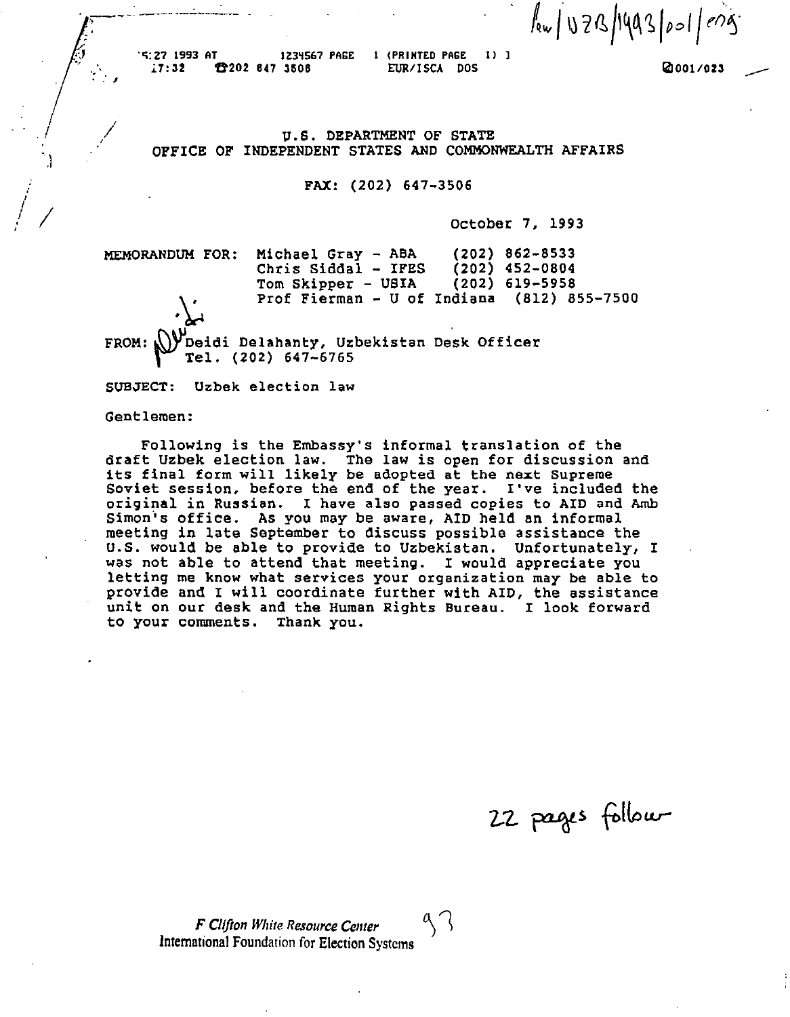$\sqrt{28/1993}/001$  /  $1093$ 

". .. , "G:Z7 1993 AT IZ3~5&7 PAGE *l7:32* ft202 647 3506

,----. -\_.-.- ---.---

1 (PRINTED PAGE 1) J EUR/ISCA DOS

IiII *001/023* 

# U.S. DEPARTMENT OF STATE OFFICE OF INDEPENDENT STATES AND COMMONWEALTH AFFAIRS

# FAX: (202) 647-3506

October 7. 1993

MEMORANDUM FOR:  $\sim$ Michael Gray - ABA Chris Siddal - IFES Tom Skipper - USIA Prof Fierman - U of Indiana (812) 855-7500 FROM: WDeidi Delahanty, Uzbekistan Desk Officer<br>Tel. (202) 647-6765 (202) 862-8533 (202) 452-0804 (202) 619-5958

SUBJECT: Uzbek election law

Gentlemen:

I  $\langle$   $|$ 

)

*.I /* <sup>I</sup>

Following is the Embassy's informal translation of the draft Uzbek election law. The law is open for discussion and<br>its final form will likely be adopted at the next Supreme Soviet session, before the end of the year. I've included the original in Russian. I have also passed copies to AID and Amb Simon"'s office. As you may be aware, AID held an informal meeting in late September to discuss possible assistance the U.S. would be able to provide to Uzbekistan. Unfortunately, I was not able to attend that meeting. I would appreciate you letting me know what services your organization may be able to provide and I will coordinate further with AID, the assistance unit on our desk and the Human Rights Bureau. I look forward to your comments. Thank you.

22 pages follow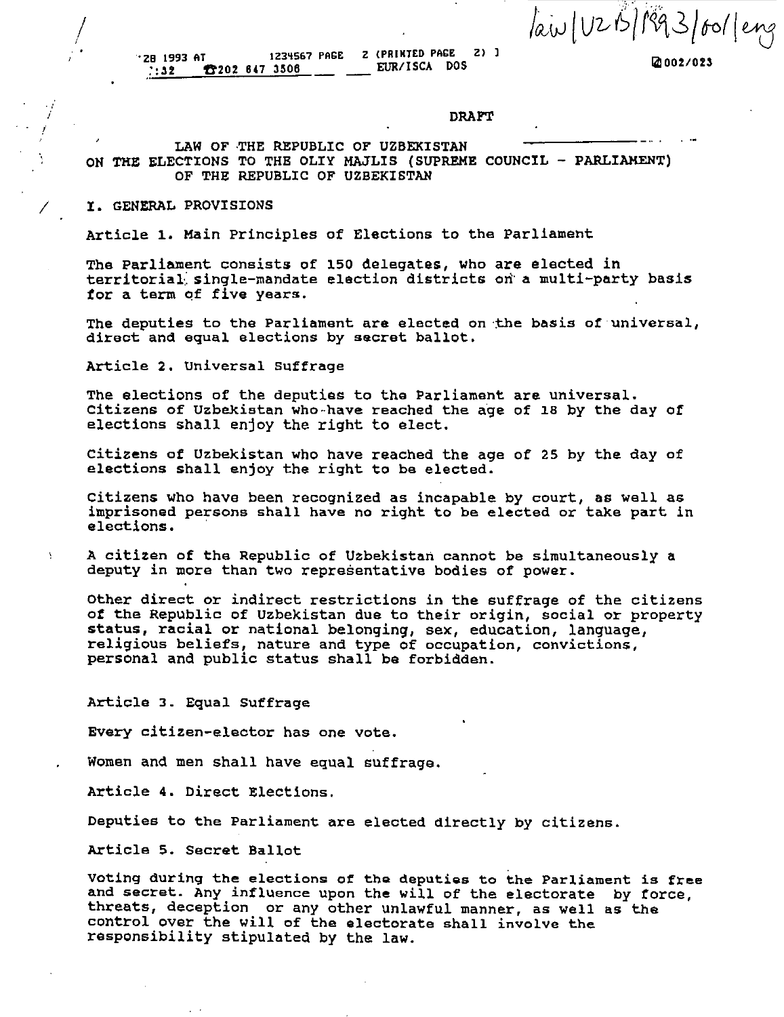law (UZB/1993/601 /eng

IiII *002/023* 

.<br>201993 AT 1234567 PAGE 2 (PRINTED PAGE 2)<br>2019 202 202 2047 2050 205 **1202 647 3506** 

DRAFT

# LAW OF THE REPUBLIC OF UZBEKISTAN ON THE ELECTIONS TO THE OLIY MAJLIS (SUPREME COUNCIL - PARLIAMENT) OF THE REPUBLIC OF UZBEKISTAN

# I. GENERAL PROVISIONS

 $\int$ 

i i

Article 1. Main principles of Elections to the Parliament

The Parliament consists of 150 delegates, who are elected in territorial, single-mandate election districts on a multi-party basis tor a term of five years.

The deputies to the Parliament are elected on the basis of universal, direct and equal elections by secret ballot.

Article 2. Universal Suffrage

The elections of the deputies to the Parliament are universal. Citizens of Uzbekistan who have reached the age of 18 by the day of elections shall enjoy the right to elect.

citizens of Uzbekistan who have reached the age of 25 by the day of elections shall enjoy the right to be elected.

citizens who have been recognized as incapable by court, as well as imprisoned persons shall have no right to be elected or take part in elections.

A citizen of the Republic of Uzbekistan cannot be simultaneously a deputy in more than two representative bodies of power.

Other direct or indirect restrictions in the suffrage of the citizens of the Republic of Uzbekistan due to their origin, social or property status, racial or national belonging, sex, education, language, religious beliefs, nature and type of occupation, convictions, personal and public status shall be forbidden.

Article 3. Equal Suffrage

Every citizen-elector has one vote.

Women and men shall have equal suffrage.

Article 4. Direct Elections.

Deputies to the Parliament are elected directly by citizens.

Article 5. Secret Ballot

voting during the elections of the deputies to the Parliament is free and secret. Any influence upon the will of the electorate by force, threats, deception or any other unlawful manner, as well as the control over the will of the electorate shall involve the responsibility stipulated by the law.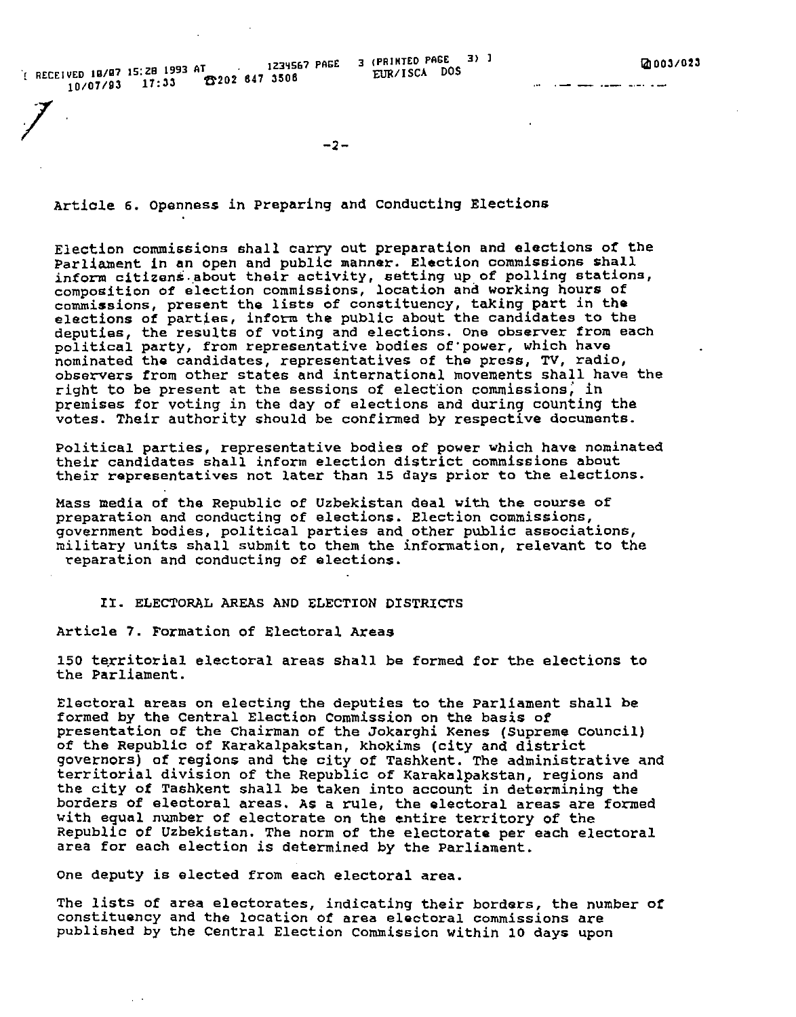The RECEIVED 18/87 15:28 1993 AT  $\frac{1234567 \text{ PAGE}}{3 \text{ CUR/ISCA}}$  DOS 10/07/93 17:33 6202 647 3506

المتواد وتناول المتعلق والمتعلق العلقان

*1* -2-

Artiole 6. Openness in preparing and conducting Elections

Election commissions shall carry out preparation and elections *ot* the Parliament in an open and public manner. Election commissions shall inform citizens. about their activity, setting up of polling stations, composition of election commissions, location and working hours of commissions, present the lists of constituency, taking part in the elections of parties, inform the public about the candidates to the deputies, the results of voting and elections. One observer from each political party, from representative bodies of'power, which have nominated the candidates, representatives of the press, TV, radio, observers from other states and international movements shall have the right to be present at the sessions of election commissions, in premises for voting in the day of elections and during counting the votes. Their authority should be confirmed by respective documents.

Political parties, representative bodies of power which have nominated their candidates shall inform election district commissions about their representatives not later than 15 days prior to the elections.

Mass media of the Republic of Uzbekistan deal with the course of preparation and conducting of elections. Election commissions, government bodies, political parties and other public associations, military units shall SUbmit to them the information, relevant to the ,eparation and conducting of elections.

# II. ELECTORAL AREAS AND ELECTION DISTRICTS

Article 7. Formation of Electoral Areas

150 territorial electoral areas shall be formed for the elections to the Parliament.

Electoral areas on electing the deputies to the Parliament shall be formed by the Central Election Commission on the basis of presentation of the Chairman of the Jokarghi Renes (Supreme council) of the Republic of Karakalpakstan, khokims (city and district governors) of regions and the city of Tashkent. The administrative and territorial division of the Republic of Rarakalpakstan, regions and the city of Tashkent shall be taken into account in determining the borders of eleotoral areas. As a rule, the eleotoral areas are formed with equal number of electorate on the entire territory of the Republic of Uzbekistan. The norm of the electorate per each electoral area for each election *is* determined by the Parliament.

One deputy is elected from each electoral area.

The lists of area electorates, indicating their borders, the number of constituency and the location *ot* area electoral commissions are published by the Central Election Commission within 10 days upon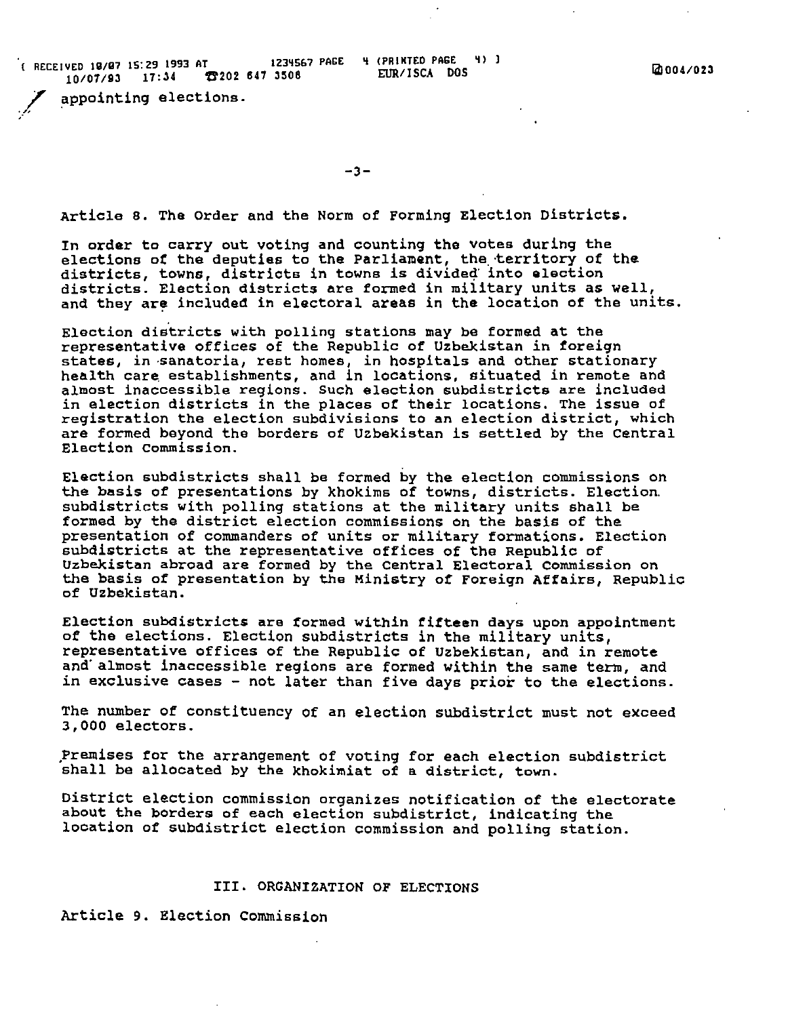$R$  RECEIVED 18/87 15:29 1993 AT 1234567 PAGE ~ 4 (PRINTED PAGE ~ 4) 3 v<sub>ED</sub> 18/87 15:29 1993 BL<br>10/07/93 17:34 **17** 202 647 3508 EUR/ISCA DOS **18/97** EUR/ISCA DOS

appointing elections.

-3-

Article 8. The Order and the Norm of Forming Election Districts.

In order to carry out voting and counting the votes during the elections of the deputies to the Parliament, the territory of the districts, towns, districts in towns is divided into election districts. Election districts are formed in military units as well, and they are included in electoral areas in the location of the units.

Election districts with polling stations may be formed at the representative offices of the Republic of Uzbekistan in foreign states, in ,sanatoria, rest homes, in hospitals and other stationary health care establishments, and in locations, situated in remote and almost inaccessible regions. such election SUbdistricts are included in election districts in the places of their locations. The issue of registration the election subdivisions to an election district, which are formed beyond the borders of Uzbekistan is settled by the Central Election commission.

Election subdistricts shall be formed by the election commissions on the basis of presentations by khokims of towns, districts. Election, subdistricts with polling stations at the military units shall be formed by the district election commissions on the basis of the presentation of commanders of units or military formations. Election subdistricts at the representative offices of the Republic of Uzbekistan abroad are formed by the Central Electoral Commission on the basis of presentation by the Ministry of Foreign Affairs, Republic of Uzbekistan.

Election subdistricts are formed within fifteen days upon appointment of the elections. Election subdistricts in the military units, representative offices of the Republic of Uzbekistan, and in remote and almost inaccessible regions are formed within the same term, and in exclusive cases - not later than fiVe days prior to the elections.

The number of constituency of an election subdistrict must not exceed 3,000 electors.

,Premises for the arrangement of voting for each election SUbdistrict shall be allocated by the khokimiat of a aistrict, town.

District election commission organizes notification of the electorate about the borders of each election subdistrict, indicating the location of SUbdistrict election commission ana polling station.

# III. ORGANIZATION OF ELECTIONS

Article 9. Election Commission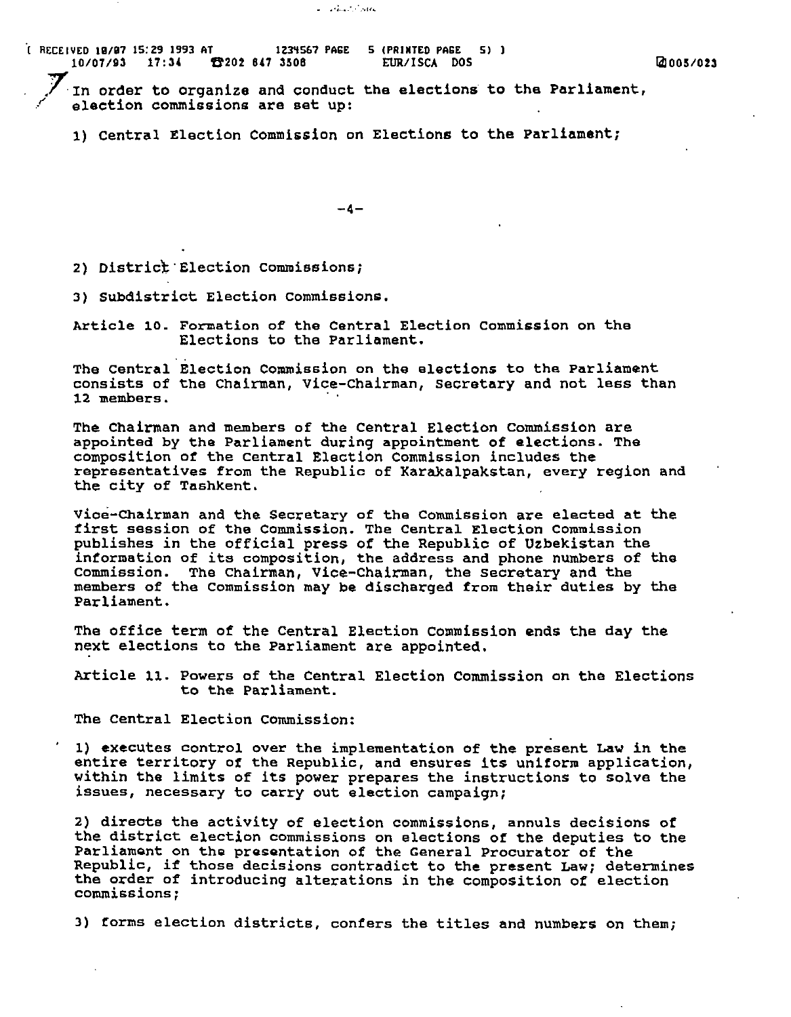In order to organize and conduct the elections to the Parliament, election commissions are set up:

 $\mathcal{F}^{\mathcal{F}}_{\mathcal{F}}$  .  $\mathcal{F}^{\mathcal{F}}_{\mathcal{F}}$  .  $\mathcal{F}^{\mathcal{F}}_{\mathcal{F}}$  .  $\mathcal{F}^{\mathcal{F}}_{\mathcal{F}}$ 

1) central Election Commission on Elections to the Parliament;

-4-

2) District Election Commissions;

3) SUbdistrict Election commissions.

Article 10. Formation of the Central Election commission on the Elections to the Parliament.

The Central Election Commission on the elections to the Parliament consists of the Chairman, vice-Chairman, secretary and not less than 12 members. .

The chairman and members of the Central Election commission are appointed by the Parliament during appointment of elections. The composition of the Central Election Commission includes the representatives from the Republic of Karakalpakstan, every region and the city of Tashkent.

Vioe-Chairman and the Secretary of the Commission are elected at the first session of the Commission. The Central Election Commission publishes in the official press of the Republic of Uzbekistan the information of its composition, the address and phone numbers of the commission. The Chairman, Vice-Chairman, the secretary and the members of the Commission may be discharged from their duties by the Parliament.

The office term of the Central Election commission ends the day the next elections to the Parliament are appointed.

Article 11. Powers of the Central Election Commission on the Elections to the Parliament.

The Central Election Commission:

1) executes control over the implementation of the present Law in the entire territory of the Republic, and ensures its uniform application, within the limits of its power prepares the instructions to solve the issues, necessary to carry out election campaign;

2) directs the activity of election commissions, annuls decisions of the district election commissions on elections of the deputies to the Parliament on the presentation of the General Procurator of the Pariliament on the presentation of the General Procurator of the<br>Republic, if those decisions contradict to the present Law; determines the order of introducing alterations in the composition of election commissions;

3) forms election districts, confers the titles and numbers on them;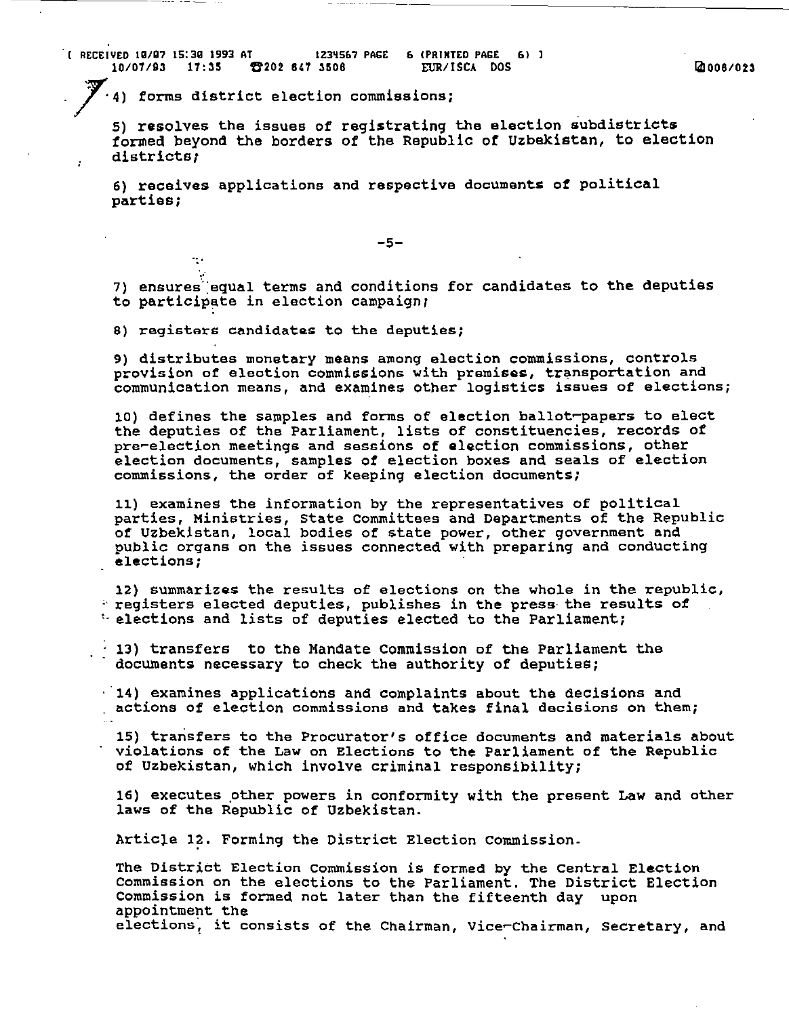4) forms district election commissions;

5) resolves the issues of registrating the election subdistricts tormed beyond the borders of the Republic of Uzbekistan, to election districts;

6) receives applications and respective documents of political parties;

-5-

7) ensures equal terms and conditions for candidates to the deputies to participate in election campaign;

B) registers candidates to the deputies;

. .

9) distributes monetary means among election commissions, controls provision of eleotion commissions with premises, transportation and communication means, and examines other logistics issues of elections;

10) defines the samples and forms of election ballot~papers to elect the deputies of the Parliament, lists of constituencies, records of pre~election meetings and sessions of election commissions, other election documents, samples of election boxes and seals of election commissions, the order of keeping election documents;

11) examines the information by the representatives of political parties, Ministries, state committees and Departments of the Republic of Uzbekistan, local bodies of state power, other government and public organs on the issues connected with preparing and conducting elections;

12) summarizes the results of elections on the whole in the republic,<br> $\therefore$  registers elected deputies, publishes in the press the results of  $\therefore$  elections and lists of deputies elected to the Parliament;

 $\cdot$  13) transfers to the Mandate Commission of the Parliament the documents necessary to check the authority of deputies;

14) examines applications and complaints about the decisions and actions of election commissions and takes final decisions on them;

15) transfers to the Procurator's office documents and materials about violations of the Law on Elections to the Parliament of the Republic of Uzbekistan, which involve criminal responsibility;

16) executes other powers in conformity with the present Law and other laws of the Republic of Uzbekistan.

Article 12. Forming the District Election Commission.

The District Election commission is formed by the Central Election Commission on the elections to the Parliament. The District Election Commission is formed not later than the fifteenth day upon appointment the elections; it consists of the Chairman, vice~Chairman, secretary, and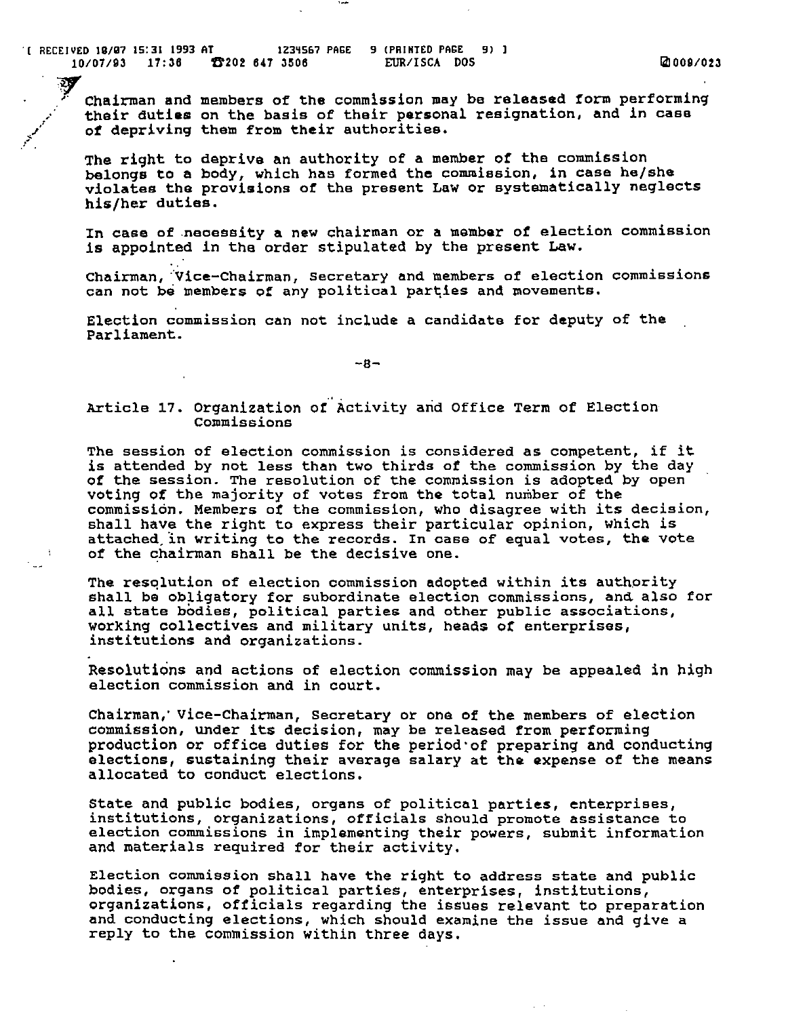$\frac{1}{10}$  ( RECEIVED 19/97 15:31 1993 AT  $\frac{1}{23}$  1234567 PAGE 9 (PRINTED PAGE 9) 1 *10107/93* 17:38 ft202 847 3S08 EUR/ISCA DOS raJ *009/023* 

 $\mathcal{Y}$ *r* Chairman and members of the commission may be released form performing their duties on the basis of their personal resignation, and in case Chairman and members of the commission may be released form performing of depriving them from their authorities.

مهم ا

The right to deprive an authority of a member *ot* the commission belongs to a body, which has formed the commiesion, in case he/she violates the provisions of the present Law or systematically neglects his/her duties.

In case of ,neoessity a new chairman or a member *ot* election commission is appointed in the order stipulated by the present Law.

Chairman, Vice-Chairman, Secretary and members of election commissions can not be members of any political parties and movements.

Election commission can not include a candidate for deputy of the Parliament.

 $-8-$ 

# Article 17. Organization of Activity and Office Term of Election **Commissions**

The session of election commission is considered as competent, if it is attended by not less than two thirds of the commission by the day of the session. The resolution of the commission is adopted by open voting of the majority of votes from the total number of the commission. Members of the commission, who disagree with its decision, shall have the right to express their particular opinion, Which is attached. in writing to the records. In oase of equal votes, the vote of the chairman shall be the decisive one.

The resqlution of election commission adopted within its authority shall be obligatory for subordinate election commissions, and also for all state bodies, political parties and other public associations, working collectives and military units, heads of enterprises, institutions and organizations.

Resolutions and actions of election commission may be appealed in high election commission and in court.

Chairman,' Vice-Chairman, secretary or ona of the members of election commission, under its decision, may be released from performing production or office duties for the period'of preparing and conducting elections, sustaining their average salary at the expense of the means allocated to conduct elections.

State and public bodies, organs of political parties, enterprises, institutions, organizations, officials should promote assistance to election commissions in implementing their powers, submit information and materials required for their activity.

Election commission shall have the right to address state and public bodies, organs of political parties, enterprises, institutions, organizations, officials regarding the issues relevant to preparation and conducting elections, which should examine the issue and give a reply to the COmmission within three days.

 $\sim$   $\sim$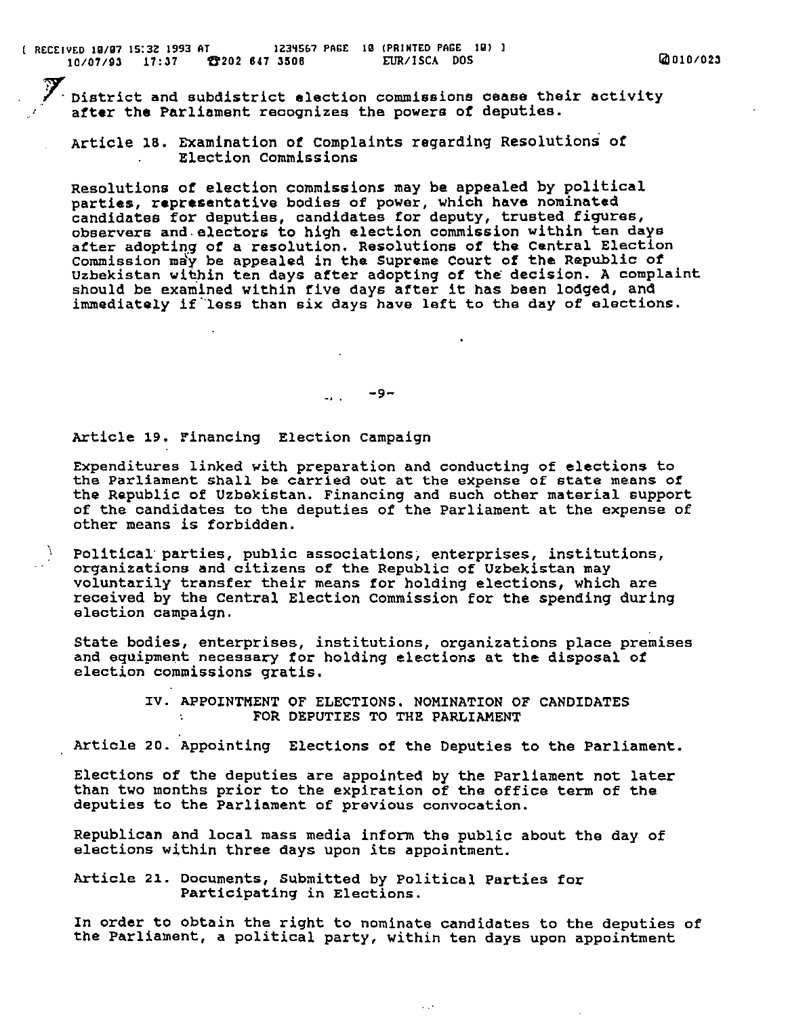$\mathscr{S}_\text{c}$  District and subdistrict election commissions cease their activity after the Parliament recognizes the powers of deputies.

Article 18. Examination *ot* Complaints regarding Resolutions *ot*  Election commissions

Resolutions *at* election commissions may be appealed by political parties, representative bodies of power, which have nominated candidates for deputies, candidates for deputy, trusted figures, observers and,electors to high election commission within ten days after adopting of a resolution. Resolutions of the Central Election Commission may be appealed in the Supreme Court of the Republic of Uzbekistan within ten days after adopting *ot* the decision. A complaint should be examined within five days after it has been lodged, and immediately if less than six days have left to the day of elections.

 $-9-$ 

# Article 19. Financing Election campaign

A.

Expenditures linked with preparation and conducting of elections to the Parliament shall be carried out at the expense of state means of the Republic of Uzbekistan. Financing and such other material support of the candidates to the deputies of the Parliament at the expense of other means is forbidden.

Political' parties, public associations; enterprises, institutions, organizations and citizens of the Republic of Uzbekistan may voluntarily transfer their means tor holding elections, which are received by the central Election Commission for the spending during election campaign.

state bodies, enterprises, institutions, organizations place premises and equipment necessary for holding elections at the disposal of election commissions gratis.

> IV. APPOINTMENT OF ELECTIONS. NOMINATION OF CANDIDATES FOR DEPUTIES TO THE PARLIAMENT

Article 20. Appointing Elections of the Deputies to the Parliament.

Elections of the deputies are appointed by the Parliament not later than two months prior to the expiration of the office term of the deputies to the Parliament of previous convocation.

Republican and local mass media inform the public about the day of elections within three days upon its appointment.

Article 21. Documents, Submitted by Political Parties for Participating in Elections.

In order to obtain the right to nominate candidates to the deputies of the parliament, a political party, within ten days upon appointment

 $\ddotsc$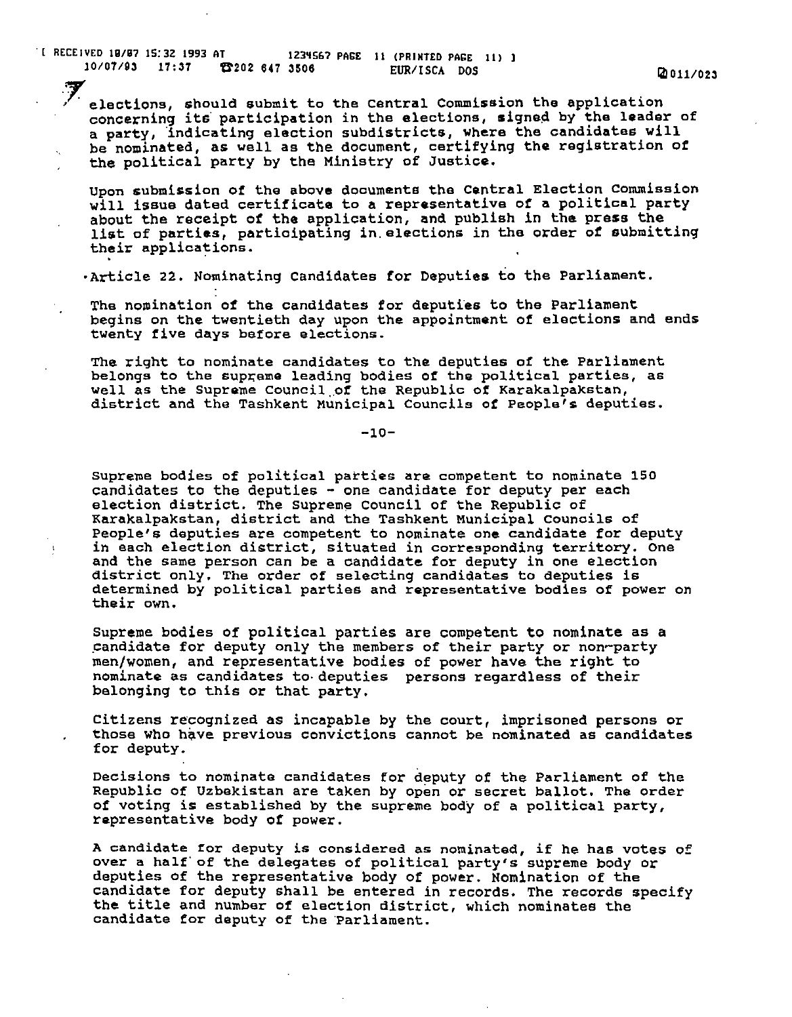. [ RECEIVED *19/97* 15:32 1993 AT 123~567 PAGE 11 (PRINTED PAGE 11) I 10/07/93 17:37 **6202 647 3506** EUR/ISCA DOS **19011/023** 

 $\mathcal{A}$ 

elections, should submit to the Central Commission the application<br>concerning its participation in the elections, signed by the leader of a party, indicating election subdistricts, where the candidates will be nominated, as well as the document, certifying the registration of the political party by the Ministry of Justice.

Upon submission of the above documents the Central Election commission will issue dated certificate to a representative of a political party about the receipt of the application, and publish in the press the list of parties, participating in elections in the order of submitting their applications.

·Article 22. Nominating Candidates for Deputies to the Parliament.

The nomination of the candidates for deputies to the Parliament begins on the twentieth day upon the appointment of elections and ends twenty five days before elections.

The right to nominate candidates to the deputies of the parliament Ind tight to hominate denial about the departs of the reflections, as well as the Supreme Council of the Republic of Karakalpakstan,<br>district and the Tashkent Municipal Councils of People's deputies.

-10-

Supreme bodies of political parties are competent to nominate 150 candidates to the deputies  $-$  one candidate for deputy per each election district. The supreme Council of the Republic of Karakalpakstan, district and the Tashkent Municipal counoils of People's deputies are competent to nominate one candidate for deputy in each election district, situated in corresponding territory. One and the same person can be a candidate for deputy in one election district only. The order of selecting candidates to deputies is determined by political parties and representative bodies of power on their own.

supreme bodies of political parties are competent to nominate as a candidate for deputy only the members of their party or non-party men/women, and representative bodies of power have the right to nominate as candidates to· deputies persons regardless of their belonging to this or that party.

Citizens recognized as incapable by the court, imprisoned persons or those who have previous convictions cannot be nominated as candidates for deputy.

Decisions to nominate candidates for deputy of the Parliament of the RepUblic of Uzbekistan are taken by open or secret ballot. The order of voting is established by the supreme body of a political party, representative body of power.

A candidate ror deputy is considered as nominated, if he has votes of over a half of the delegates of political party's supreme body or deputies of the representative body of power. Nomination of the candidate for deputy shall be entered in records. The records specify the title and number of election district, which nominates the candidate for deputy of the Parliament.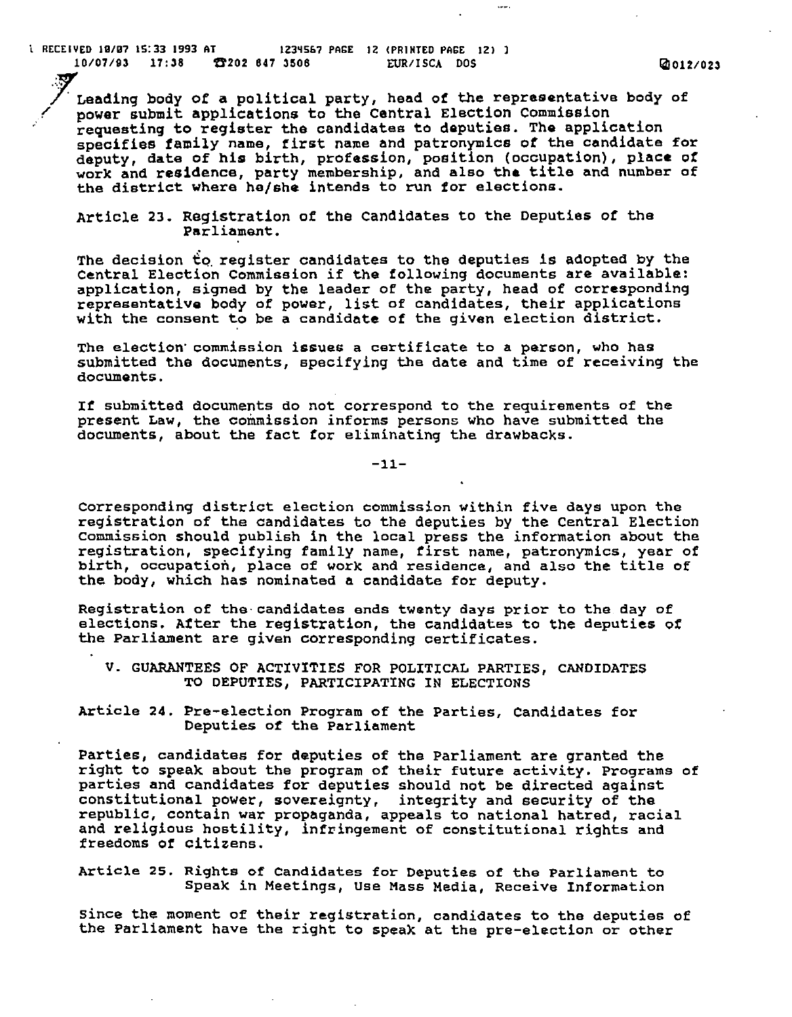$\frac{1}{1}$  RECEIVED 10/07 15:33 1993 AT  $\frac{1234567 \text{ PAGE}}{12}$  12 (PRINTED PAGE 12) 1 *10/07/93* 17:38 U202 847 3S08 EURIISCA DOS *1i!J012/023* 

Leading body of a political party, head of the representative body of<br>power submit applications to the Central Election Commission requesting to register the candidates to deputies. The application specifies family name, first neme and patronymics of the candidate for deputy, date of his birth, profession, position (occupation), place of deputy, date of his birth, profession, position (occupation), place of<br>work and residence, party membership, and also the title and number of the district where he/she intends to run for elections.

Article 23. Registration of the Candidates to the Deputies of the Parliament.

The decision to register candidates to the deputies is adopted by the centrel Election Commission if the following documents are available: application, signed by the leader of the party, head of corresponding representative body of power, list of candidates, their applications with the consent to be a candidate of the given election district.

The election' commission issues a certificate to a person, who has submitted the documents, specifying the date and time of receiving the documents.

If submitted documents do not correspond to the requirements of the present Law, the commission informs persons who have submitted the documents, about the fact for eliminating the drawbacks.

-11-

corresponding district election commission within five days upon the registration of the candidates to the deputies by the Central Election commission should publish in the local press the information about the registration, specifying family name, first name, patronymics, year of birth, occupation, place of work and residence, and also the title of the body, which has nominated a candidate for deputy.

Registration of the-candidates ends twenty days prior to the day of elections. After the registration, the candidates to the deputies of the Parliament are given corresponding certificates.

V. GUARANTEES OF ACTIVITIES FOR POLITICAL PARTIES, CANDIDATES TO DEPUTIES, PARTICIPATING IN ELECTIONS

Article 24. Pre-election Program of the Parties, Candidates for Deputies of the Parliament

Parties, candidates for deputies of the Parliament are granted the right to speak about the program of their future activity. Programs of parties and candidates for deputies should not be directed against constitutional power, sovereignty, integrity and security of the repUblic, contain war propaganda, appeals to national hatred, racial and religious hostility, infringement of constitutional rights and freedoms of citizens.

Article 25. Rights of Candidates for Deputies of the Parliament to Speak in Meetings, Use Mass Media, ReceiVe Information

since the moment of their registration, candidates to the deputies of the Parliament have the right to speak at the pre-election or other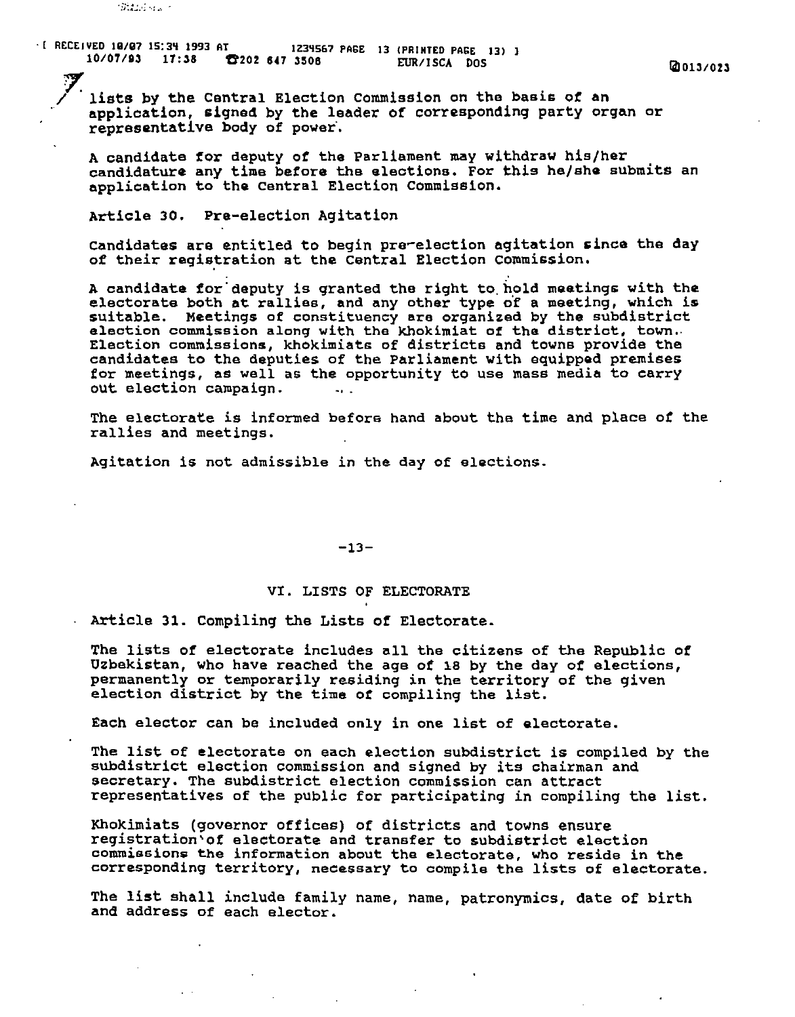':"';:;.:.,; .: .', .

. [ RECEIVED 10/07 IS:3~ 1993 AT IZ3~Sa7 PAGE 13 (PRINTED PAGE 13) 1 *10/07/93* 17:38 !t20Z sn 3S0S EURIISCA DOS 1iII013/0Z3

7. . / lists by the Central Election commission on the bas1s *ot* an applioation, signed by the leader of corresponding party organ or representative body of power·.

A candidate for deputy of the Parliament may withdraw his/her candidature any time before the elections. For this he/she submits an application to the central Election commission.

Article 30. Pre-election Agitation

candidates are entitled to begin pre-election agitation since the day of their registration at the Central Election Commission.

A candidate for deputy is granted the right to hold meetings with the electorate both at rallies, and any other type of a meeting, which is suitable. Meetings of constituency are organized by the subdistrict election commission along with the khokimiat of the district, town.· Election commissions, khokimiate of districts and towns provide the candidates to the deputies of the Parliament with equipped premises for meetings, as well as the opportunity to use mass media to carry out election campaign.

The electorate is informed befors hand about the time and place of the rallies and meetings.

Agitation is not admissible in the day of elections.

 $-13-$ 

# VI. LISTS OF ELECTORATE

Article 31. Compiling the Lists of Electorate.

The lists *ot* electorate includes all the citizens of the Republio *ot*  Uzbekistan, Who have reached the age of 18 by the day *ot* elections, permanently or temporarily residing in the territory of the given election district by the time *ot* compiling the list.

Each elector can be inclUded only in one list of electorate.

The list of electorate on each election subdistrict is compiled by the subdistrict election commission and signed by its chairman and secretary. The SUbdistrict election commission can attract representatives of the public for participating in compiling the list.

Khokimiats (governor Offices) of districts and towns ensure registration'of electorate and transfer to subdistrict election commissions the information about the electorate, who reside in the corresponding territory, necessary to compile the lists of electorate.

The list shall include family name, name, patronymics, date of birth and address of each elector.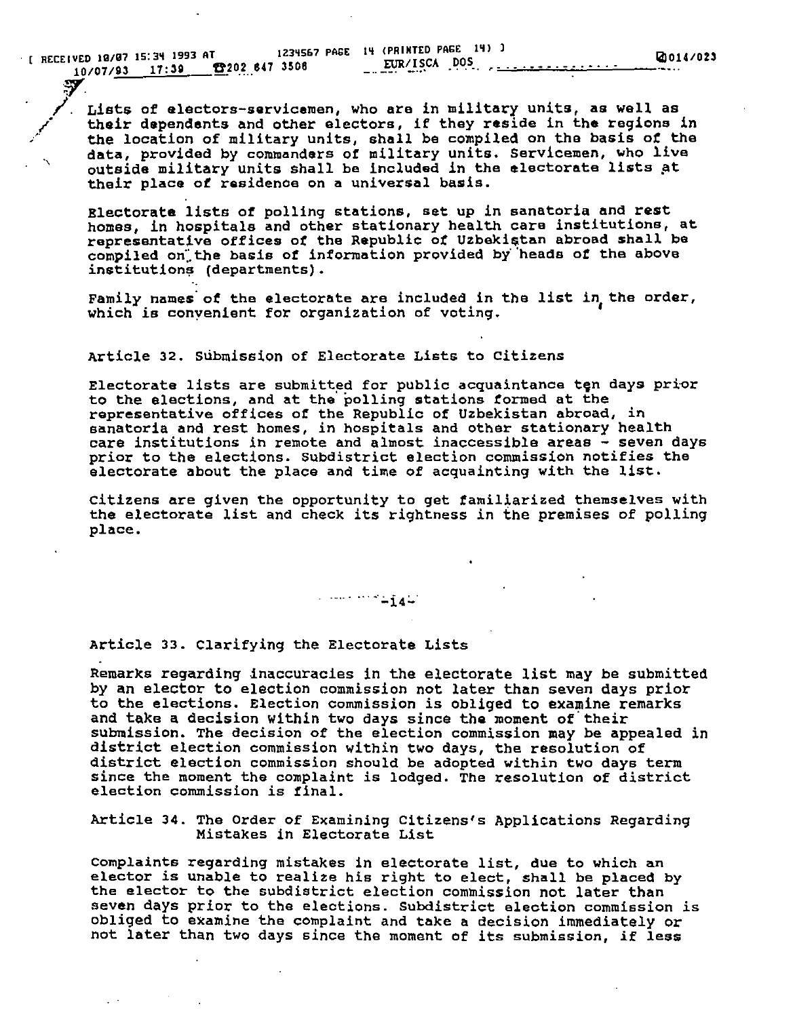$\cdot$  [ RECEIVED 10/07 15:34 1993 AT *10107/93* 17:39 U20,2,,847 *3508* 

'~, /.

**/**<br>مجم

"

Lists of electors-servicemen, Who are in military units, as well as their dependents and other electors, if they reside in the regions in the location of military units, shall be compiled on the basis of the data, provided by commanders of military units. Servicemen, who live outside military units shall be included in the electorate lists at their place of residenoe on a universal basis.

Electorate lists of polling stations, set up in sanatoria and rest homes, in hospitals and other stationary health care institutions, at representative offices of the Republic of Uzbekistan abroad shall be compiled on the basis of information provided by heads of the above institutions (departments).

Family names of the electorate are included in the list in the order, which is conyenient for organization of voting.

# Article 32. SUbmission of Electorate Lists to Citizens

Electorate lists are submitted for public acquaintance ten days prior to the elections, and at the' polling stations formed at the representative offices of the Republic of Uzbekistan abroad, in sanatoria and rest homes, in hospitals and other stationary health care institutions in remote and almost inaccessible areas - seven days prior to the elections. SUbdistrict election commission notifies the electorate about the place and time of acquainting with the list.

citizens are given the opportunity to get familiarized themselves with the electorate list and check its rightness in the premises of polling place.

Article 33. Clarifyin9 the Electorate Lists

Remarks regarding inaccuracies in the electorate list may be submitted by an elector to election commission not later than seven days prior to the elections. Election commission is Obliged to examine remarks and take a decision within two days since the moment of their submission. The decision of the election commission may be appealed *in*  district election commission within two days, the resolution of district election commission should be adopted within two days term since the moment the complaint is lodged. The resolution of district election commission is final.

Article 34. The Order of Examining Citizens's Applications Regardin9 Mistakes in Electorate List

Complaints regarding mistakes in electorate list, due to which an elector is unable to realize his right to elect, shall be placed by the elector to the subdistrict election commission not later than seven days prior to the elections. Subdistrict election commission is obliged to examine the complaint and take a decision immediately or not later than two days since the moment of its submission, if less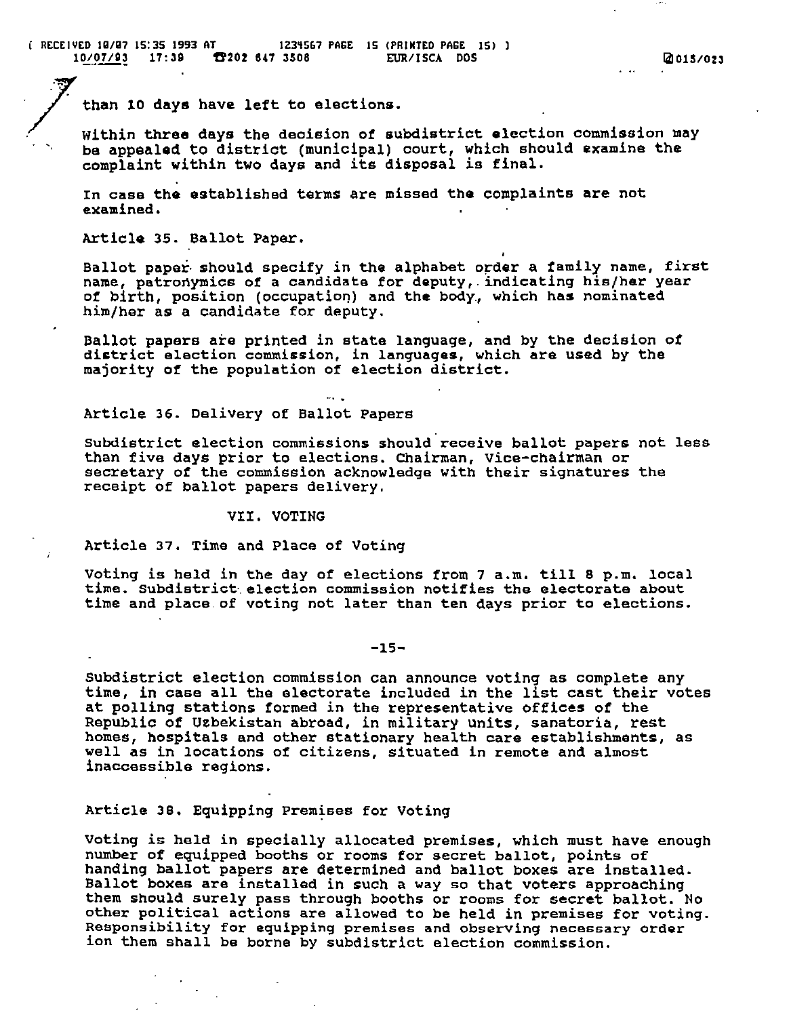than 10 days have left to elections.

Within three days the decision of subdistrict election commission may be appealed to district (municipal) court, which should examine the complaint within two days and its disposal is final.

In case the established terms are missed the complaints are not examined.

Article 35. Ballot Paper.

Ballot paper· should specify in the alphabet order a family name, first name, patronymics of a candidate for deputy, indicating his/her year of birth, position (occupation) and the body, which has nominated him/her as a candidate for deputy.

Ballot papers are printed in state language, and by the decision ot district election commission, in languages, which are used by the majority *ot* the population of election district.

# Article 36. Delivery *ot* Ballot Papers

subdistrict election commissions should receive ballot papers not less than five days prior to elections. Chairman, Vice-chairman or secretary *ot* the commission acknowledge with their signatures the receipt of ballot papers delivery.

# VII. VOTING

Article 37. Time and Place of Voting

voting is held in the day of elections trom 7 a.m. till 8 p.m. local time. Subdistrict election commission notifies the electorate about time and place. of voting not later than ten days prior to elections.

-15-

SUbdistrict election commission can announce voting as complete any time, in case all the electorate included in the list cast their votes at polling stations tormed in the representative offices of the Republic of Uzbekistan abroad, in military units, sanatoria, rest homes, hospitals and other stationary health care establishments, as well as in locations of citizens, situated in remote and almost inaccessible regions.

# Article 38. Equipping Premises for Voting

voting is held in specially allocated premises, which must have enough number of equipped booths or rooms for secret ballot, points of handing ballot papers are determined and ballot boxes are installed. Ballot boxes are installed in such a way so that voters approaching them should surely pass through booths or rooms for secret ballot. No other political actions are allowed to be held in premises for voting. Responsibility for equipping premises and observing necessary order ion them shall be borne by subdistrict election commission.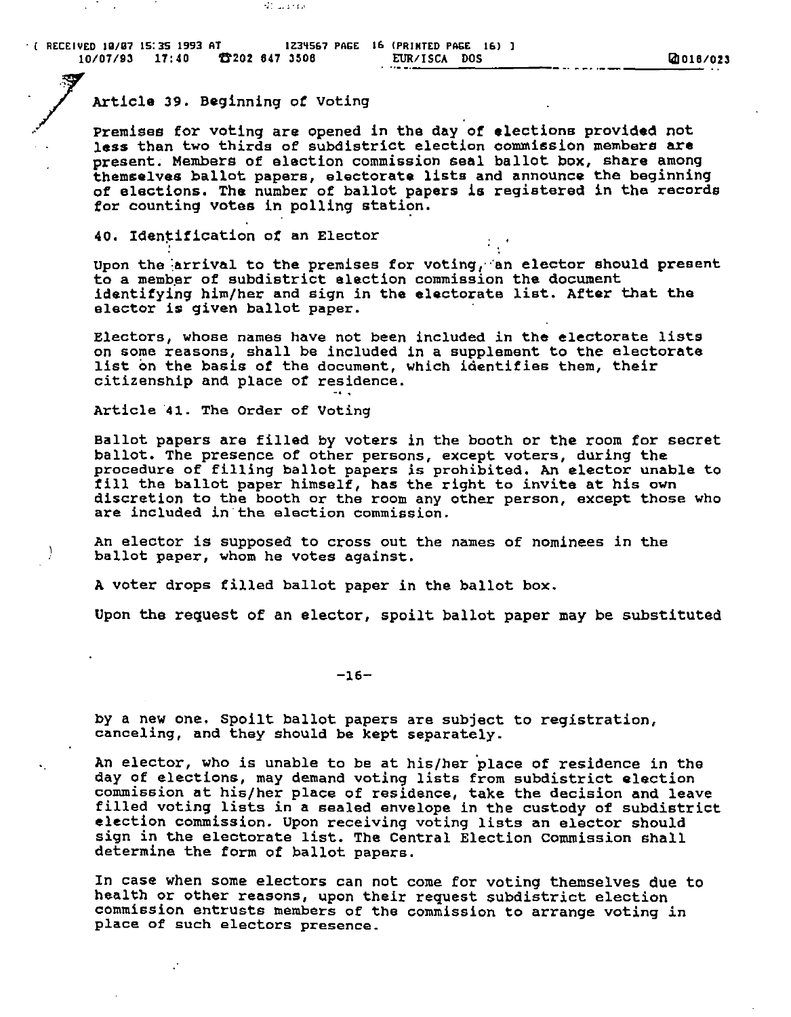ST Last for

# Article 39. Beginning of Voting

Premises for voting are opened in the day of elections provided not less than two thirds of subdistrict election oommission members are present. Members of election commission seal ballot box, share among themselves ballot papers, electorate lists and announce the beginning of elections. The number of ballot papers is registered in the records for counting votes in polling station.

40. Identification of an Elector

Upon the arrival to the premises for voting, an elector should present to a member of Bubdistrict election commission the document identifying him/her and sign in the electorate list. After that the elector is given ballot paper.

Electors, whose names have not been included in the electorate lists on some reasons, shall be included in a supplement to the electorate list on the basis of the document, which identifies them, their citizenship and place of residence.<br>Article 41. The Order of Voting

'.

Ballot papers are filled by voters in the booth or the room for secret ballot. The presence of other persons, except voters, during the procedure of filling ballot papers is prohibited. An elector unable to fill the ballot paper himself, has the right to invite at his own discretion to the booth or the room any other person, except those who are included in the election commission.

An elector is supposed to cross out the names of nominees in the ballot paper, Whom he votes against.

A voter drops filled ballot paper in the ballot box.

Upon the request of an elector, spoilt ballot paper may be substituted

-16-

by a new one. spoilt ballot papers are subject to registration, canceling, and they should be kept separately.

An elector, who is unable to be at his/her place of residence in the day of elections, may demand voting lists from subdistrict election commission at his/her place of residence, take the decision and leave filled voting lists in a sealed envelope in the custody of subdistrict election commission. Upon receiving voting lists an elector should sign in the electorate list. The Central Election Commission shall determine the form of ballot papers.

In case when some electors can not come for voting themselves due to health or other reasons, upon their request subdistrict election commission entrusts members of the commission to arrange voting in place of such electors presence.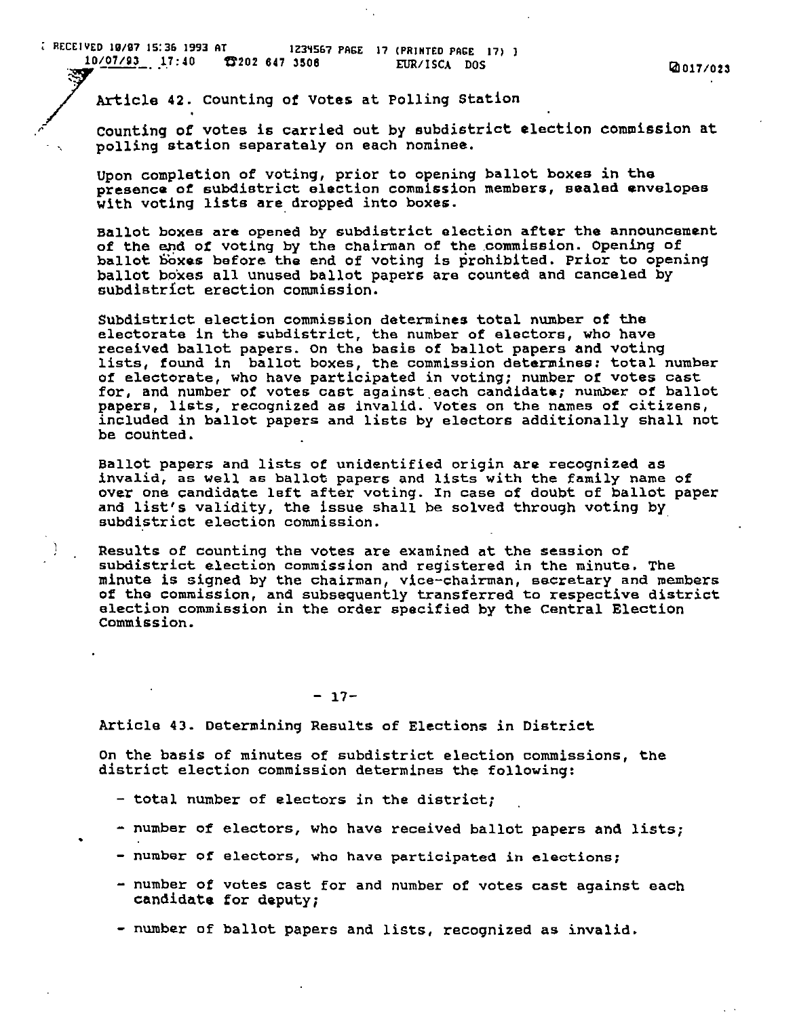ithism in the series of the control of the series of the series of the series of the series of the series of the series of the series of the series of the series of the series of the series of the series of the series of t

r counting of votes is carried out by subdistrict election commission at polling station separately on each nominee.

Upon completion of voting, prior to opening ballot boxes in the presence *ot* subdistrict election commission members, sealed envelopes with voting lists are dropped into boxes.

Ballot boxes are opened by subdistrict election after the announcement of the end of voting by the chairman of the commission. Opening of ballot boxes before the end of voting is prohibited. Prior to opening ballot bo'xes all unused ballot papers are counted and canceled by subdistrict erection commission.

subdistrict election commission determines total number of the electorate in the subdistrict, the number of electors, who have received ballot papers. On the basis of ballot papers and voting lists, found in ballot boxes, the commission determines: total number of electorate, who haVe participated in voting; number of votes cast for, and number of votes cast against. each candidate; number of ballot papers, lists, recognized as invalid. Votes on the names of citizens, included in ballot papers and lists by electors additionally shall not be counted.

Ballot papers and lists of unidentified origin are recognized as invalid, as well as ballot papers and lists with the family name of over one candidate left after voting. In case of doubt of ballot paper and list's validity, the issue shall be solved through voting by subdistrict election commission.

Results of counting the votes are examined at the session of subdistrict election commission and registered in the minute. The minute is signed by the chairman, vice-chairman, secretary and members of the commission, and subsequently transferred to respective district election commission in the order spacified by the central Election Commission.

 $- 17-$ 

Article 43. Determining Results of Elections in District

On the basis of minutes of subdistrict election commissions, the district election commission determines the following:

- total number of electors in the district;
- number of electors, Who have received ballot papers and lists;
- number of electors, who have participated in elections;
- number of votes cast for and number of votes cast against each candidate for deputy;
- number of ballot papers and lists, recognized as invalid.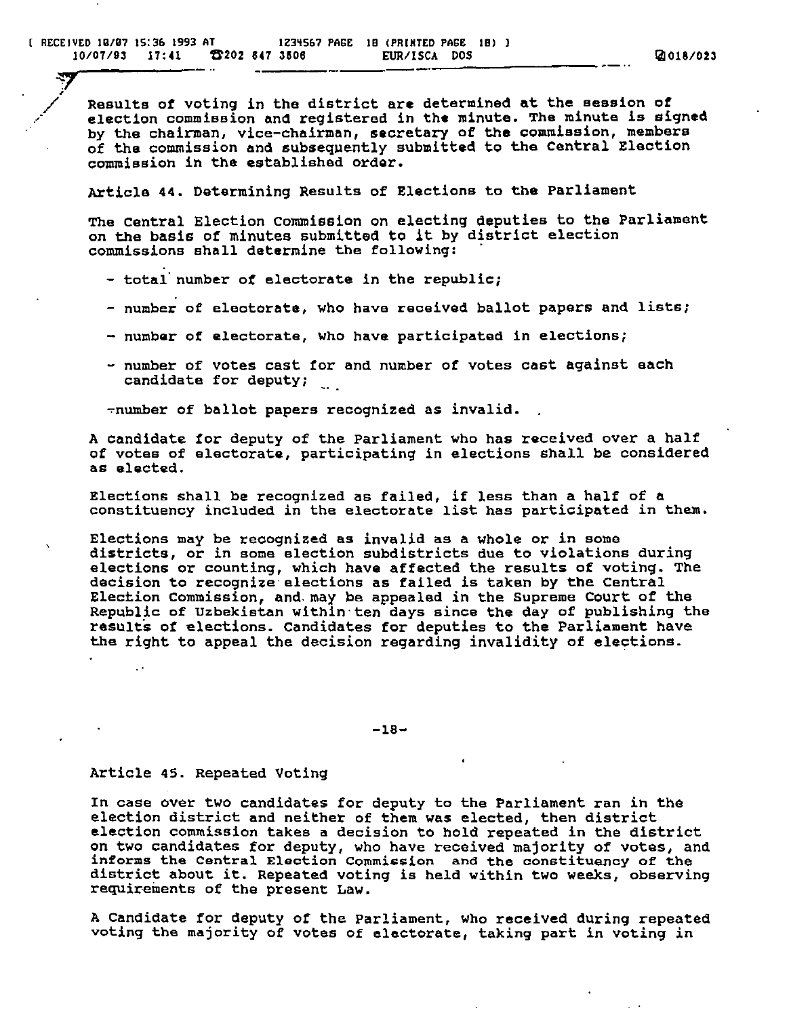$\frac{1}{2}$ \_/

Results of voting in the district are determined at the session of election commission and registered in the minute. The minute is signed by the chairman, vice-chairman, secretary of the commission, members of the commission and subsequently submitted to the Central Election commission in the established order.

Article 44. Determining Results of Elections to the Parliament

The central Election commission on electing deputies to the Parliament on the basis of minutes submitted to it by district election commissions shall determine the following:

- total number of electorate in the republic;
- number of electorate, who have received ballot papers and lists;
- number of electorate, who have participated in elections;
- number of votes cast for and number of votes cast against each candidate for deputy;

~number of ballot papers recognized as invalid.

A candidate for deputy of the Parliament who has received over a half of votes of electorate, participating in elections shall be considered as elected.

Elections shall be recognized as failed, if less than a half of a constituency included in the electorate list has participated in them.

Elections may be recognized as invalid as a Whole or in some districts, or in some election subdistricts due to violations during elections or counting, which have affected the results of voting. The decision to recognize elections as failed is taken by the Central Election commission, and. may be appealed in the Supreme Court of the Republic of Uzbekistan within' ten days since the day of publishing the results of elections. Candidates for deputies to the Parliament have the right to appeal the decision regarding invalidity of elections.

-18-

## Article 45. Repeated Voting

In case over two candidates for deputy to the Parliament ran in the election district and neither of them was elected, then district election commission takes a decision to hold repeated in the district on two candidates for deputy, who have received majority of votes, and informs the Central Election Commission and the constituency of the district about it. Repeated voting is held within two weeks, observing requirements of the present Law.

A Candidate for deputy of the parliament, who received during repeated voting the majority of votes of electorate, taking part in voting in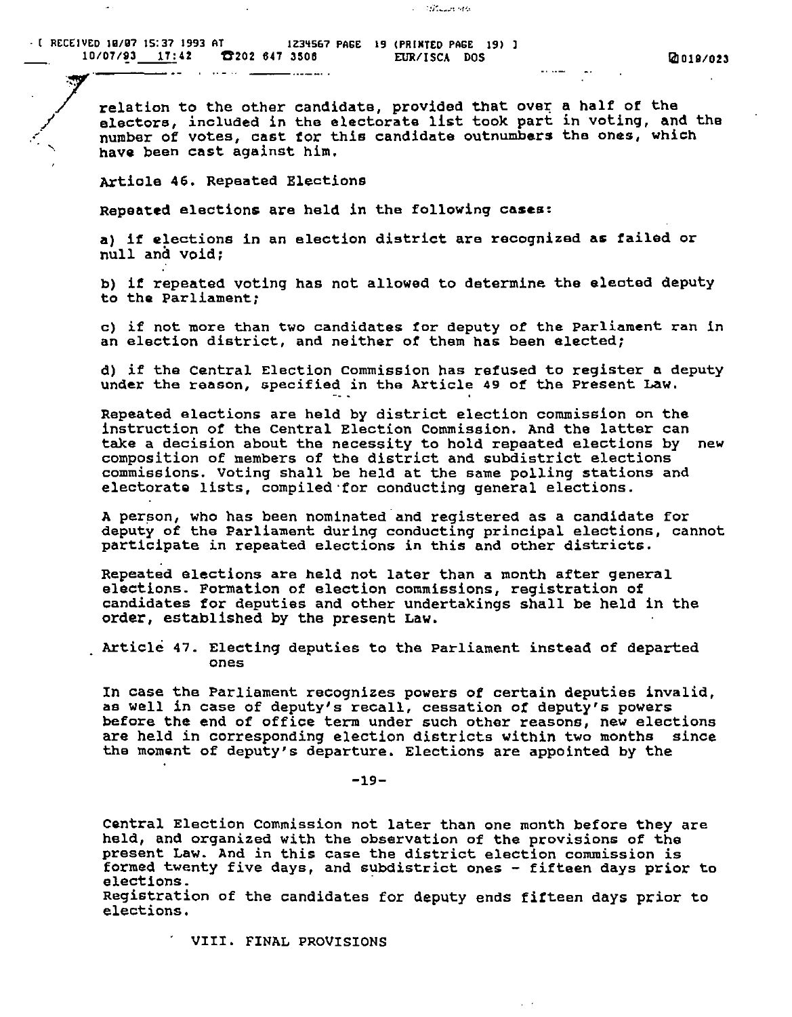· [ RECEIVED 10/07 15:37 1993 AT IZ3~SG7 PAGE 19 (PRIMTED PAGE 19)  $10/07/93$   $17:42$   $202.647.3506$  EUR/ISCA DOS

<u>2002 - Jan James James B</u>

relation to the other candidate, provided that over a half of the<br>electors, included in the electorate list took part in voting, and here of votes, cast for this candidate outnumbers the ones, which have been cast against him. electors, included in the electorate list took part in voting, and the

**Control Control** 

Artiole 46. Repeated Elections

Repeated elections are held in the following cases:

— ………

a) if elections in an election district are recognized as failed or null and void;

b) if repeated voting has not allowed to determine the eleoted deputy to the Parliament;

c) if not more than two candidates for deputy of the Parliament ran in an election district, and neither of them has been elected;

d) if the Central Election commission has refused to register a deputy under the reason, specified in the Article 49 of the present Law.

Repeated elections are held by district election commission on the instruction of the central Election Commission. And the latter can take a decision about the necessity to hold repeated elections by new composition of members of the district and subdistrict elections commissions. voting shall be held at the same polling stations and electorate lists, compiled 'for conducting general elections.

A person, who has been nominated and registered as a candidate for deputy of the Parliament during conducting principal elections, cannot participate in repeated elections in this and other districts.

Repeated elections are held not later than a month after general elections. Formation of election commissions, registration of candidates for deputies and other undertakings shall be held in the order, established by the present Law.

Article 47. Electing deputies to the Parliament instead of departed ones

In case the Parliament recognizes powers of certain deputies invalid, ae well in case of deputy's recall, cessation of deputy's powers before the end of office term under such other reasons, new elections are held in corresponding election districts within two months since the moment of deputy's departure. Elections are appointed by the

-19-

Central Election Commission not later than one month before they are held, and organized with the observation of the provisions of the present Law. And in this case the district election commission is formed twenty five days, and SUbdistrict ones - fifteen days prior to rormed ewenty five days, and su elections.<br>Registration of the candidates for deputy ends fifteen days prior to

elections.

 $\mathcal{L}^{\pm}$  .

VIII. FINAL PROVISIONS

المواد السمامة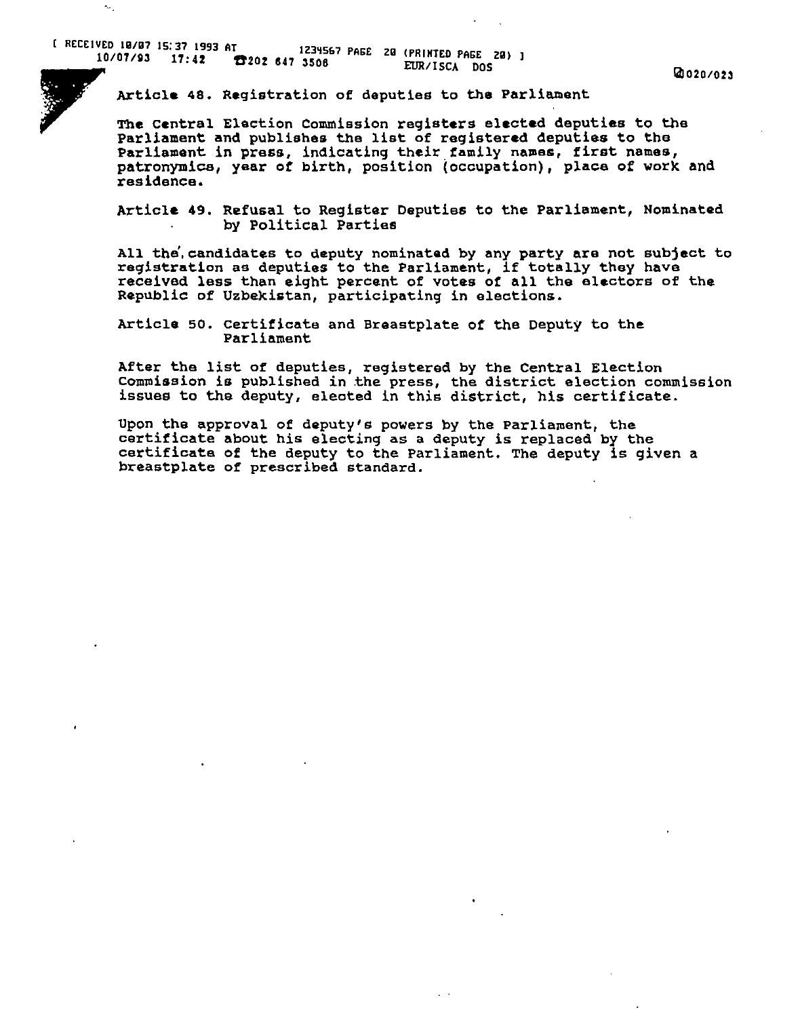Article 48. Registration of deputies to the Parliament

The central Election Commission registers elected deputies to the Parliament and publishes the list of registered deputies to the Parliament in press, indicating their family names, first names, patronymics, year of birth, position (occupation), place of work and residence.

Article 49. Refusal to Register Deputies to the Parliament, Nominated by Political Parties

All the. candidates to deputy nominated by any party are not subject to registration as deputies to the Parliament, if totally they have received less than eight percent of votes of all the electors of the RepUblic of Uzbekistan, participating in elections.

Article 50. certificate and Breastplate of the Deputy to the Parliament

After the list of deputies, registered by the Central Election Commission is published in the press, the district election commission issues to the deputy, eleoted in this district, his certificate.

Upon the approval of deputy's powers by the parliament, the certificate about his electing as a deputy is replaced by the certificate of the deputy to the Parliament. The deputy is given a breastplate of prescribed standard.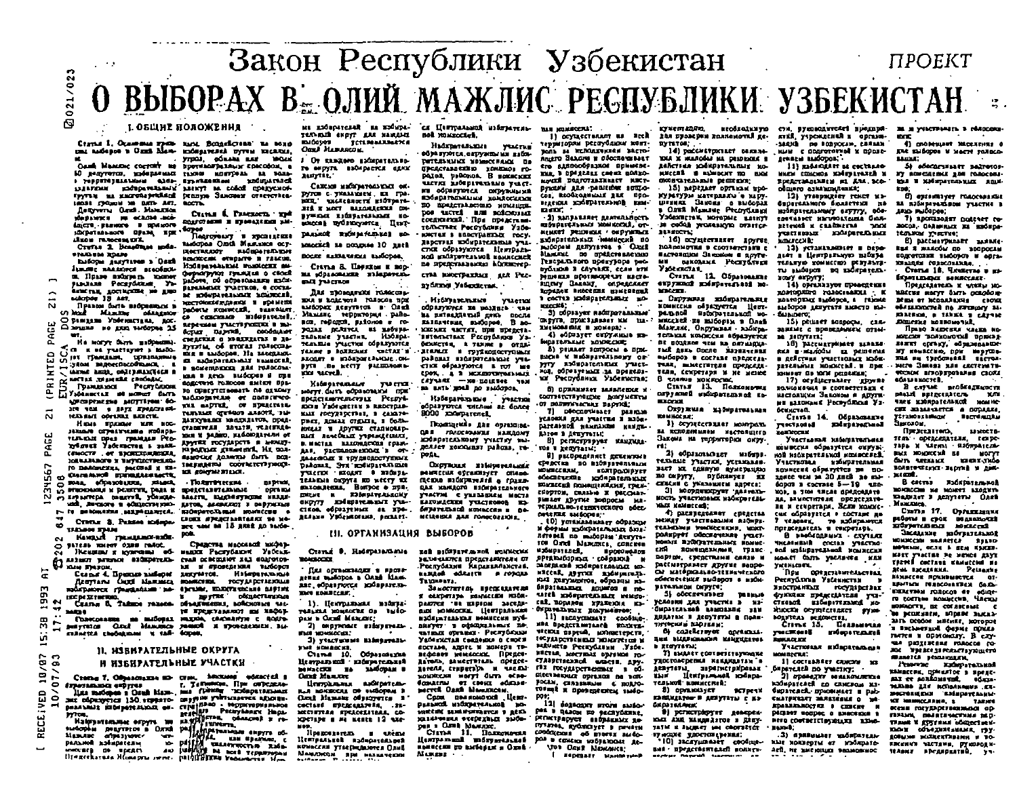# 021/023  $\boldsymbol{\varpi}$ Закон Республики Узбекистан проект **O BЫБОРАХ В= ОЛИЙ МАЖЛИС РЕСПУБЛИКИ УЗБЕКИСТАН •**

### .1. **OSU\HI nO»OlKEHHJI**

Cravas I, Ocamenas spetto santi Bengeleventi na sono

Oase Manuore coerent as 50 делутетки, здобираемых также минтрель на воль-P POPPETH SEALANCE GLOS- EXPRESSIONE ULEFORE EDGEDERSSING twith as successiveland beares Sancter cracterates. 10031 CROSSI 10 DATS AFT. **Депутты Genth**. MANUSCO departes su echose soi-**Ancre Flaware** I massore HOLD-age Personal Dhand Rine ARMON FREDERICKS Cruras 3. Bonefinae soda-*STARLING* **ROADS** hadopa garytaves a Dauh Junime nanatives accoduou-

п. Праве взбурать ходиму FINANS Pecayószum Yasiècone 18 aer.

Thursday Sarth modpositions is О рамдана Увёскистала, дос-Chicago se gon verdopes 25

**Sect** He serve favor mediaters).  $\Omega$ T CO IL DE VALETAVET D'ISLIDO.  $\circ$ FOR TRANSLERS, SEPREDAMINALS ឆត YROM BROCKDOCORMON Summer and continued of three herts, colt passetteen a ÷  $\overline{\mathbf{r}}$ Гранцинки Республоки  $\overline{\mathbf{r}}$ 

EXPLASHMENT OF HORSE BUTS. **Milita Deve que - MOTTLYAN : 40**are you a says greatrant-Ñ **HEAT BATTERS INTERNATIONAL** 

HIGHT FOOD OF MER NOC-HELLAN OTHERSCHIE ROOMS-**YER-DIS DPES PRAILER PEG-**Tyoman Yackmanns & saint-혽 CEMOCTE . AP ENCIRCULATIONS

**108 MARADONE Y WANTED THE EAST** 567 TO BARGHENRA, PACCHAE R 120-

to Cleramond primagassacre,

BOAR SODASORUEES, MILBOR

10 BURDENIUS N PERSTYK, PARA E Ñ

und au cacre a administrato-IN TO BERGHARM, MAPHIMATICAL

Cristur S. Pessas indianam TAILEN STAN

Кандый гульцами набе- $\sim$ 

917239 Hotel 0388 Fallot. ີຜ Houston & Hyarding  $\sim$ 

дальног разводе паблически-

KIN THROK 'n

5<br>5<br>3<br>5<br>3

".  $\Xi$ 

**INCORPORATION** 

ō 34838  $\mathbf{r}$ 

 $\sim$ M ίń.

# 11. НАВИРАТЕЛЬНЫЕ ОКРУГА

### Н ИЗБИРАТЕЛЬНЫЕ УЧАСТКИ -ש/<br>פי<br>ג Crome 7, Objetosana so- cros, Miccune admired a

CESSING T, URBORISMENT SD- CERA, SENATOR, II DE OFFICIALE 1<br>1987 SENATOR STRYER HARD T, JAPHON, II DE OFFICIALE<br>1988 STRYER STRYER HARD TO THE ORIGINAL STRYER v<br>ED 1<br>10/0<br>10/ Ton, Halping or Branch College Contact of the Halping of the Halping of the Halping of the Halping of the Halping of the Halping of the Halping of the Halping of the Halping of the Halping of the Halping of the Halping of

Such as the contract of the contract of the contract of the contract of the contract of the contract of the contract of the contract of the contract of the contract of the contract of the contract of the contract of the co

**OaxA MARARCOX** ymai, odnaní any **BOAR** Г. От каждого кабиратально-**BOOTHAMPARELY CONCORON.** то округа взоловется един nortit. EXAMPLES ON THE COLOR OPERATION рутов с уналашем, на гра-HILL CLASSIFIE HOTSETS  $rac{1}{2}$ 

**EMODOS** 

TETLPOALUMACYCA

Сажни набарательных ем-

**JIS X NOTE BALOGRAPHS** DE-Crime & Patenters, and BYWERK EIGEPLYGENDE KO-**ROLLAGE S EXPOSURED PRI**scheens updaucoperen, Hunt-**General** 

passion worse-tension so-Hancourt a montant associati na postpise 10 mneti IROCTRADOT RADIOATA/DEN BOORE RASSANSORA BARGODOR, .<br>Моновски открыто в глысце, Hofmanahanat manteens au-Crama S. Lisyston E nopферматруют граждая в своей на «Орансвания избиратель-**DIX YANCHOO PUNAMIST TARTED 4 COTA-**The monagement researchac sofurareasmix sources. BOI N ROLC'HOTA POLISCOR NEW CIONALGRAPHIC I ROCHAEL высорах денутатов в Олий paderte stormtexi, suantuer Мамлис территория райоca concesso miditizzati. nos reports sulonos e ro-REDE DAM THICTI FORESA 3 BAdoper miperes, coolector point actuves as moves. TADARNE VALCINE CREATION & MARTIAUTAS B ABremme yucnu copusyones FIRSTM. OF ETOPAS PORCING. TAKER B BOXXCAME VACTAL B mis a autopea. He assessed ARODITY III HOŠKOGIERNICHE.OK-**CL. Extent Constitute Constitute** руга по кесту разниможьa soccentrono sat microseno ucrel. **WERE REPORT BACCOGO & CRE** SAECTRIS TOROGON ENLER DOL-Hadmontonesser TV-1712 30 COURTSTEINGATH NO CANCHING HOTTE CHITA OUTSIDEANA ITEM MIGROUP PLAN ODDETWOOD SOURCLEATERCTULE PERING THE SAUTHE, OF HURSCHILL mos Vademerity a Rapernia-PARTNER OFFICER ALBOTT, THE ных государствах, в самате-BARYBARD MASSARITER, DDAA-THEY RENAL STEATL I DATA-CLASSIFIE BASSES TEACHESниках в других сталионар-**WHEN SADIO, HAGODEAPARK OF** RACE RENCOUNT YEPHOLOGICALLY

EWIST TOCYLEDGYS II MONEY-B. MICTELL RAZONACIONA FORM-Hapofton grassent, Hz nosand victorian and a con-SANCTIC RONATH ONTH DOS-BAARDOUT T VOVASIONATYSTALY TREFINATION COOFFICTITIONION-Dallouis, Syx scrippare thene **VI FORTHE TILLET.** THEFT EXCLUSE & STORES TEANIMA DEPYTA NO METET NX . Than recent **BARTISE OPTAIN SPECTATULA ISLE MATTI, IMORRYTORE FILME-RATOR ALABRAZOI I DEPTHETAS** 

surroautems. Bostpoe o nys. **COLLAGE BA GREYTY** Endepitement yes-CIEDA AGOSSENHE AL EDAпаберетельный измессии о BEAMS FROMMUS SHART-**CHOICE #PERCENSIVERE SO NO**met tout as 15 gaze an auto-

pok Средства массавой вифор-**HARDE PACKYGAION** Vaccus-CHAR DEREGLIOT XAX GOLFOTON-11 N OTORESENDA TUGODOS

Старые 4. Прежде заберие декумтов. Избераталова fleury and the Maximum sources recypt personal mogeneous themselvers in cleaner municipality include  $\overline{M}$ *<u>OCHACTUROOM</u>* Скалы В. Тайши телесе- объединения, войсковые часте представляют ны много-

NELTA MINICEE OF THIS ваща в наборах надоров сесналися на народ-<br>понсолания на наборах надов, сесналися с полу-<br>ригутатов Сский Мандиков занися и троведением вы-<br>язинства свободным к тай- боров, DAM & Carol Mancore 2) copyrinate exceptrata-

ENGINDANIA DELL' 3) участновые набладималь-THE HOMESTER.

Статья 10. Образовалив liempanent sadsparenant MANICARE BO SAMONAM B **Cont Masser** 

*<u>BANKACKS</u>* 

Thre Houstcast.

ligenciana actores-KECCILE OF ENDOPEN B Cout Manaus ofpanywres a COCTANG EPRECARAPRA, ... 21-<br>MECHETERA EPRECARAIRAA, COsperape a se neate 12 exe-MOD.

1). Центральная вздата:

lipegoraerem. Центральной полировенью **комисски утверидаются Олиб** Maissocon ppi estuarenos

ME EMPLOYEERS HE EMPLOYE-CX HUFTPARMOR MISSINGTERS-TERNIGER EKPYT KAR NAVANSE not rounced.

> **Hadrmenancenes VELCTURE** обуа куются, окружны ми набл-PATERNAMMENT NORMOCFFALOR DA **SPORCTARD CITED TOWNSOL FO**радая, райсков. В номиских SECTION SUPERINTENDS TOLCTин образуются скружными<br>продолжания наимосител TO EDUCTARDORED HOMINES. pos sucred num sodciouser соединений. При представительствих Республика Уабе-KNUTER & EBBCYFARINGS FOCY. Report to experience Arty. CTICK OGDINNOTES LIEUTDAN-MOIL EXISTENT LANDOR HANNCOMER по представляется Макистер-CTAS EMOCIFATRACE ARR PEC-

nyfitzen Vaterzerne.

Избирательные участки образуются не позднее чам на интеадиемый днеь после казначения выборов В воюжняя частят, при предста-**GENETRA** & TANKE & GTSAлевых в трукконоступных районах избирательные уча-CIKE OF PASTOTCA B TOT сром, а в исключительных BS BATH' MOLE DO SHOODOR

.<br>Stadepavername yearvous **BOOO COMPATION** 

Dominicale ARE opraining. **ОВИ ГОЛОСИЗАНИЯ НАЖДОМУ** TOOPPECOMONY ARELEA BET DEASET KODOLEST PARCES, TO-**DOLL** 

Охруноми изборительный **MARICUR OFFICIALLY CRADE** пение взохранение с грани-ДАХ КАМДОГО ИЗбИРАТЕЛЬНОГО участи с укладним моста EATURACEEN VULCTRONOS EN-MELLOIDEA ARE FORGEDEEDIE

### ПІ. ОРГАННЯАЦИЯ ВЫБОРОВ

**ESSIBLE PERSONAL** 

**ILÓIN** 

Cura 9. Respuesare кай взблуктельной комиссии каленится представители 07-Республики Каракваланстан. Has consumed a sport-**BARAGE GALLIST & CORONA** RENEZ WASODON N OARS ALAN-Taxanara. дае образуются конвратель-

3s MOCTHY I DE - II DECK ULATERS секретара комменди избя-DARTER 'BE EXPIDE DACERN-BUX HOMEOCKEL LISTERATION NUCLEAR RESIDENCE RESIDENCES внеует в офондальных по-**SATIST CONSULT PRITTDANI** Увбекистая сведения и сноси поставе, адрес и жинера тевефовот минастек. Предел-**BATOIL MUSCIFIED CORREC-**RAYCAR CENDERALD M MACINE HONDREIM HOFFT CLITA OCHO-**92 CROSS OCCUPACI** ستعبسة MICTER ORRA MANERICON.

Coos neestood liess. passed autopavenue po-NIECH SIMMARAIGH I ACO називных отередани зновpen a Cumh Massicon. Clins 11. Baingnous

Hearth and many artistal nowarcam to successful a Oxed Manager ...

has sussedered.

11 OCYLLECTRALIST RE Brek Tepperapous pergydances sont-Bolls as KCROAXWARD SACTO-**RELETO SALGINE N OSCITOVIMBANT** сто вдепособедное примене-THE B DOMALDES COOKS GOANO-NAMES NORTHERN ASSESSMENT руками для реакцент защо-Con. REOGROSSMALE BRK ESO-BELEICHA KONSEPATRADHOB KAM-**DID** 

-3) RAILFARARY REMEMBERS ENVIRONMENT MONSCORE, ON MeMOST TRIVINGLE / GEOVIERLY купрательных мемлесий по выборам депутатов в Олий blassmit no upstacreanenses Гелерального прокурора рес-DYLLIOLD 3 CRYVANI CCAN BTH NUMBER SPOTTSCOPERT RACEsincey Basen, capencaser 1 COCTER EDISSION PERSONAL NO. **CLOCKA**: 3) OCPREVED RECOVERED MAIN

перуга приставлен км па-SMCHOOL CHE B ROMAGE . 4) «ÓEMATET OKPYAILLE ED-

MOLTERLUE SOVIECULE 8) pettaer somporal a non-BECH K HENPITCALDONY OF PTTY REGISTRATION PLACE-

ной, образуемых за праделаб) примыми залаления к соответствующие документы OF DODREVACULT BAPTICS.

7) Dicconvience pasma рательной намилися канда-

датом в депутаты: В) регистрирует наидима-TOP I REDYFATIV: .

**W** pacopagenest genewouse СРЕДСТИВ ВО ВЗОЯТЕТИЛЬНЫХ<br>ИОМНОСЕЛИ, КОЛТВОЛЕРУЕТ edecretare scripturists **MINECER DOMALINEANS, THEN**глортом, сильно и рассматрывает другие попросы зда-PERMAIN BO-TEXANTOCKOFO DOCC-DOUGHER BACCOGA !!

(0) venturantiary odpasose **COSMM ROOKPATE/WAIGHT AND ...** лятовей по высорам депута-108 Oriel Manuface, concern MadMONTERELL **SPONO HOADS PPtED-000 nm** colosins - 6 MORRANA KORRONTEALIDE NO. succes, Algrica moderateких катументов, образцы ка-SAPREMANHER ROUNDED II TOtatti godworten.mr renga**сай, порядом худженоги из-**ON PUPEL BALLAS ROLL PROPERTY OF

11) BECHERRIE COOPINGvicina sspras, annoctepers, tocyan personalis 'suspectives at selvects Peerydrum . Yste-HECTLE, MOCTENT ORIGINAL TO-**STARPETHERMORE SIGNERSH. APY**па государственных в обпісственных примов па вол-POCEN, CERSSHELME & ROAD-TOWNER K SPONEGEENER INFO-**POR** 

121 Segnomen prove suito. pen a quacular novem announce myares, sydentayer a pewirst coolaithna ob Brorex Birdopos a concia subjatoost as-**VOI OGHT NEWMICE:** 

**Веревате маниетини** 

**KYNEM ZDRU** 208 FRAME DEN ROANGHOULD EC-RY TUTOR: 14) paccretmenter samas-

TOTA X MARQOAN HA DESPITIONA B действия хобирательных ко-MECCUS IN MANAGERY TO ENOX **CONSULTANE DIECON:**  $.$  151 **NADATANY** OPERAL HOLE

KYMTYPH MATCHARDS & MADY. manter graces, o success **OSER MANUSE PECIFICARIES** Узбеннетам моторые влантт B COOL WORLDAYS OFFICE **BELEGETE** 

16) осуществалет другое ROADONDTRE 9 COUTATIONER C ИАСТОЛИЦИМ ЗАНОВОМ И ПЛУТИдвет в Центральную вабира DIROLENA POCITOTECH TERETY FORMECED PERTHERN-V por un via

Crank 11, Obastoning **HOLY SEPART:** expyring membersheet no-MILLER. ROMUDARE POROCHARGE . K

Окружка кіберательные ROSTOPING BAGODOS, & FRANC с Окружкая жібнрательная<br>Комиссы образуется Цент-<br>развой напирательной мо-<br>миссией на набольшей смо выборов депутьтя вывето вы-**SUNDER** MacCzeg ne mycobew a Over Макене, Окружная - кобира-SARINE C BOOSERANKEN DIENтельная компесии образуется м напить: ВЕ ПОЗДНАЯ ЧЕМ ВА СИТИАДЦА-That gean Goone Maynageman вил в налоды на решения maidupos a cocruze apenteras a gelerant yezettesizz toda-TURE, MACCINTERS IDEACCINрательных поколеев. в прителя, секретаря и не менее хамных дв 1000 резенца. В чление компостал

Статья 13. Полкомышки HONIGHOULD B COURSETTINGS corpyamel sudisparamental asнастолики Завоком в други-**EXCOVE** ин захочых Роскублоза Узбенистай.

Охружила набирательная **ROMHOCKELL** 1) ocypreceduar sources. за исполнением настоящего

Закона на горратирног окруra: 2) образованиет мабита. HOR NIGHTHATERNOS KOMBOZSER. rement yarriot, yersessas. вает их сдвиую пумерацию по сиругу, публикует их 3) координистиче такиева-MOR. & TOM RELES GORDONISTS.

ность участновых набиратель-**YAIT KAMBECAS:** 4) распределяет средства менду учиствальны набира-TERMINING WONDECKENS, WHEN posspyer odecnesses years. новых изборательных намис-**COLLECT** ВОИЧЩЕНИЯМ Н. ГРАНСпортом, средствами силам и рассматривает другие вапро-CN MATÉRICALISO-TEEMINECROTO OGECHELLE BUGDOOT & MIGH-**PATARMON CHPYSS:** 

51 oboczesnikar **THE REAL OF** Vestorius zas venerus a lugi ОИРАТЕЛЬНОЙ ВАМПАНИИ ЗАН дидатки в депутиты в политически взраван;

б) солействуют организм. yescment information **THE BILEFICERADOR MANIFERENCE** .<br>Navykovaz **b** ELEVTERAL

TI AMARET COTTAGEFENDORME VIOCTORCDEDGA NAKARATAN'A RESULTATION SUPERMETER DESIGN ным Центральной кобарателький комиссией.

8) COMMODVET **BCTPESK** каядида<del>тов в</del> двіутаты є дэ *<u>AKOSTERANIK</u>* 9) persentancy rr assemes-YNE E SOTEEMEN DER DAA

TATM IN JAURET 104 COUNTRY CT **Ty recurse y norrementeme:** '10) SECRYLINGSET COORINGвия - представителей полити- дей, не вменица зависамис

игобладиную сти, руководителей прадпри-**30 M WANTENANTS & MARCHINE** ктий, учреждений и органи-**BOOK** -SARIO DO ROBSOCIN, CRASSI NUM C CONFORMING X COOLEдля кыборов и масте голосоsenara sudonos:

14) oprakknow upsacgemen

15) penser sospecia, cas-

10) рассматримет заваже-

17) ocyflucrawer ynwne

Статья 14. Образникате

Участковый заборатограна

yestaonal goingaranaal

юнински образуется окруж-

Участновая мабырательная

KOMMCCHE OFPERVETCH NO HO-

здисе чем за 30 дней до из-

 $6000$  a correct  $5 - 10$  and

да, заместителя председате-

as a ceverape. Scan source-

CUR ODDISTITUR . COCTANY HO

7 человек, то взбиранных

В необходими ступли

THEATHBILL COCELL VILCOLO-

**BOX HOSHBATCALOON** NONDECAN

HOART DATH yacherts HAN

вностранили государствах

функции председателя учи-

Cineact subspiranced so

shocks orymecriates syst-

Crime 15, Heatswerks

Республика Увбаниетка

**BOSTCAL SECONCIST.** 

При представительствах

npraceastean a resperson.

**RAKKOWA** 

**VICENLOPE** 

a Kaanaa

ilma: 11) mondiant at cectano-51 edecarusair patresos **MICH CONCIDE NO SPIRATED M** XY ROMCHEDLE 154 Philosophпредставлением из для, все-Ю. В КИФИТЕЛЬКИХ ЯДИ-CREEKINGUIKES OTHERS Store:

12) утверждіст техст ма-П отгенитет голосаниях Supercasions Sossettive na 34 поблрательном участке в MODELIVERMANY SAUTYV. OOR-**ARIO BADROSE** EDUCASSET HE WOLTFIELD CIAR-7) aportanoist notcaer re-**BETCHOS H CRAINETED TANK** mocon, Generally an anderse-**YOU CLEANS IS ANDERED BLC** 

**IGURDE XARELLE!** B) pactmerpasser annue-13) устаильные и пере-**EMI S MARCON GO BOODCCAM** подгетовки выборов и едга-Kariaga terscorexes

Статья 18. Членетве в на fruitmor univers.

floraceaerests x weeks so-MACCOS MOCYT DATA OCROSOM-BERN OF REDAKTORS ... CHOICE easternated no sweeper at-MAIROS, O TAXA S LAYING EXHIPPER BOXMONDARY

Право выпения часта но ASSESS DEPONDED TO THE BIETT ODTACY, edmonastre My ROBSCORO, DON HODYERS Siera Rassas was correspondent ческом вгловуютельные сполк edsus sucret.

В случае необхадимости peard aptrecenters **TABLE REEK MIDROLFCALLOR MOMBE** OF EDMONTOS A NODISEA ytrzionskiego sacremnia as and

Председатель. **MARCIN** TEM OPERCELLISE, respeтарь и члены - плотратель-**BUS MONDECHA BA NATYT OUT SPEED AT 121033-7306** MAS W SHORE - DINSTRUCTION nemi.

В сестах избярительной MONDCOM NE NOISTE SEORED ЮЩНАГЛ ДЕКУНТЫ ОЛИЙ Muscues.

CENTER 17. Oprimational **PEGOIN B CROK DEALERMANES** Bürkber Erret GROUNNE HOOFFEFEAROR NOMICCON NARRELLE BILTO KIET YVICTER DE HENDE ANYE TPEPER COCTANE KAMMICONE NI день васедялия. Решание

измиссок принашется от-EPHTSCH FERDCOURTEEN DOCK-**IDERCTHIN FORCOT 49 ADDR**го состави комместв. Члены **BORNOTTE**, BE COF ABCOME C be pennunces, supene aucua-23Th OCOCOR MIRLINE, MOTODOE и визнегам ферме прила merca a operatory. B czy-THE DESTREAM FORATO CO-

Участовая издаратальная **JOC WHEREES POINTLY SHIRTS** MONGEERS. **MANOTER PERSONALITIE** 1) COCTESARRY CRISCIA 32 Ремение избирательной<br>намисен, принятое в предс-**SHPATERED DO YMETRY.** 

21 аранелия венькомпение ALL TE ACRESSIVE I SPERIT COMPATEACH CO CANCROM M3. **GHDATCACK, EDIOMALCT II Dab**звестоки сыз кабирательны-CHATPITRARY MARKEBURG D 300их маниселями, в также EDANMANOCTRE I CHICHE всени государственными орредают вопрос о внасежке в FARAMA COMBIDIOSCENNA DED-TRIME K KSSTRAN DOUDEERN-**PIFO CONTRETCIPS SILKS 12060-Bandi DONE ODAINSTRUCK TIT.** ДОРЫМЕ ИСПЛЕКТЛЕНИИ И ВО-

.3) *SUBBEAST MAGEDATERY* HME NORDEDTHE 47 ICONDUITS ЕВСКИМ ЧАСТАНИ, РУКОРОДИ<br>18868 - РРСАНДИИНА, УЧ-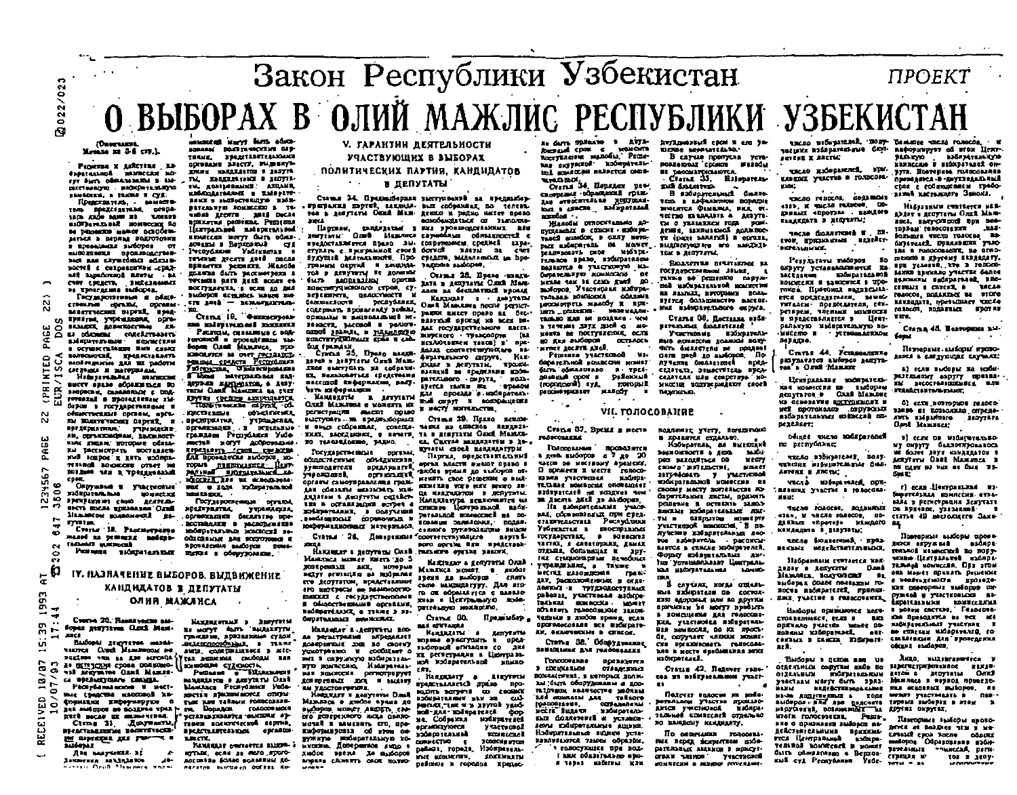# Закон Республики Узбекистан  $\sim 100$ npOEKT О ВЫБОРАХ В ОЛИЙ МАЖЛИС РЕСПУБЛИКИ УЗБЕКИСТАН airs. **SUZAMORAT COO**

# Member 32 days 1.

..,

 $0.22 / 0.2$ 

 $\mathbf{e}$ 

Pagema x Autorina . 12 Experienced manufacture adрастенного воскретельного ESHADEEN. B TRAINS I CYR. Предсемуель. - ваместо-TOTH DOCALISETERS, DEEDS **изОКРАТЕЛЬВАЙ** НОМЕНСКИЕ ПО ne pittosetto assetto ocnocen-**MITAGE & DEDRAM POLICYIONES** в последающих зыборов от **BURGHERE BROKEOLOGICA** sed are chysedent admisвостей с сохранилизм .срад-**MAR Aspañouma ERITH . BA** CON CREATS, SHEELANGEL

**Госумистиевые** и обще ственный органы, органипривующ учрендення, орга-**CO** BASAGER, ROBERSCY MAG 문 o us phonons construences.<br>Enforcements consecutive Ξ **B** DCYMN TELLANDER BATH CHART

оночий, кредиставлять g **SIGN PLIGHT SEE BX DADOTH** CRESSION IN MATUREALAIL ÷ Hadayavadahas sauruncan вмегу враље обракишел по œ **BARDRONE, CAMARDRADE C DOG**roveszak a prosectatur 120 Б беров в государствиями и  $\mathbf{z}$ OFFICIOUS EXIST COURSES, AND L. THE BURKYEVECHER DADYSE, N предприятиям, учреждение, '" " .. имы лицам, которые обяза-

им рассмотрить поставляет. .. 1049 ROSPOC E XETA WOODSH restand someons order to BOIJNAS VAN R TORELLYSALLAR COOK. йñ.  $\sim$ Окрумами в участковые 도  $\bullet$ **130 PUTAR BUS** 

 $\tilde{\mathbf{e}}_{\mathbf{e}}$ ຕ .., In  $\rightarrow$ 

...

 $\mathbf{r}$ 

ត **FRIEND OF CROOM ACATEDA** NICTS SOCIA SUCHARAN OAND MERINTON BORRONOULE RE-

**DOM:NO** Crezze 18. Pacific pages  $\bullet$ mased as pemeras melapo-

N **TROADER WARRANT** Penema storpatommen o N

# IY. FLAAULIE BLEDOPOB. BLILBHMEHUE

'N

# KAHQHAATOB E RENYTATLI

# **OЛИЯ МАЖЛИСА**

 $-$ Crome 20, Researchers and In a strike and the strike of the strike and the strike and the strike and the strike and the strike and the strike and the strike and the strike and the strike and the strike and the strike and the strike and the strike a

POLITIES TO AND THE AND SCIENCE OF THE SERIES CROSSES SERIES OF THE CHARGE OF THE SERIES OF THE SAME OF THE SAME OF THE SAME OF THE SAME OF THE SAME OF THE SAME OF THE SAME OF THE SAME OF THE SAME OF THE SAME OF THE SAME O TRIMOGIN CITOTOCIY ED 10/0<br>0/07/9<br>---<br>---Pecayda nua acade 11 Mect- $\sim$  мые средства миссовой ки-<br> $\sim$  формации информаруют о<br> $\sim$  дай амборов на поддна трак Ettis auto ex manutena, m<br>" Fill mineding the Lat.  $\overline{\phantom{a}}\phantom{a}\overline{\phantom{a}}\phantom{a}\overline{\phantom{a}}\phantom{a}$ 

**Дая** вакучики во Asithenia Handalasos AbMANDOLES MAYY BATS AGAIN.<br>HORARAS DOLESTING CANT THREE. SPARTLETERADAG оставля завсту. Вышину-ENER PRESENTED I ANTIT THE EDUCTRITION I JUSTIN TH, CONFIDENTIAL AND ME. вами в выйостенного побъ-**PETERSWIP FORMCERS 3 TO**undata george patte bucate LETTOLD.net ELGEDETAL.Dod EDUCCAN MOTT GUIS SOMEsovagua a Baprosault ್ಷ ಮಾ Pecnydanes Vadrunovas reverse gecera gued mocas вражится решения. Жалоба EDANTES DATE DACCIMPTROON & TOUSERS DATE AUCT BOOKS OF BOETTERFERA, I GEER AO REA SIMODOS ECHLIDOS MENOS EM-

 $cm$  and  $-$  acoustically **DANGLESOWN TO** Crama 10. Commitment **In plants in the set of the set** Расходы, связанные с водroromed a spoughtanze salборов Слав Мальгоса, 1750-MORNEN M OVER PRINCES M MITCORED BAR ENT aepsim surpenson, a 1897 **NETH REPORTED** - KAMINGETHE & ARTYLETH OWIN (Police Amperison) .<br>Преставител объезвести.<br>Предоржател учращевал. perietrasiva aucor opaso yvpamaenas. DESCRIPTION - SUPERING TO TRACILLORING, PARMO. нистах могут доброводька Engelsen con creates TOPUS HERIDIANCE HENT-**SYRCHOLOGICAL** DECREE ROS NE SCROID-NOS-

such a note such a sea is an **MOLENSTER** Государослевные остаты **HOLESTATINE STEERINGER** юстинили в расходинение ModeDaranamaz MONGOCTE ne-OCCORDIANS ARE SOFTWARE & **SPORATORIA BACOCO BOMA**щегоя в обврузомные.

**EXTREMENT 1 REPORTS** 

**BE HOT'T GUTS 'BACARETTE** 

граждане, аризванные судок

BELLECHOOD CALL . . TELKE

nuts, contrastante a str-

Personal of BRANDIANS

MARKARICH B ACTYRITH CAN'

Манслад Республики Уоба-

хветая дражным могод отнош

THE NEW TARRING FORDCORREN-

FEE DOGRADES FORCOCOMISES

*NGLESS SHOPPE OF* 

танной политической пертии,

EDELCTALITERATION OFFARIOR

HYDRE, OCAS 34 MOTO JUNIO-

**АОСОНТВЫ БОЛЬЕ ВОЛЬЕНИИ ДО-**

naratos surgiero otiena de-

NAMERAT CONTACTES BASED -

**BARCTE** 

**V. ГАРАНТИИ ДЕЯТЕЛЬНОСТИ** РЧАСТВУЮЩИХ В ВЫБОРАХ ПОЛИТИЧЕСКИХ ПАРТИЯ, КАНДИДАТОВ

### $\bullet$  . The set of  $\bullet$ **B JEUNTATH**

Статья 34. Предвайоркая заступлавий на предпабор-FORFANXI EDDYNA, RAXIOLA- BAIT COOPRNHAX, NO TENENA-TOR & ACATEVIN DEER MAN. ACENO N PRONO HATCH BORDO echodekstatsck or samorove-Партнам, папиланым в кол уровнодованных или

пледоставляется подво ды, создателемом средней здолervans a normalisat cool donud **SALTY OF CAPE** будущий делующающий. Про стедете выдаляются на hoo-TRAMM DETTAIL & ENGINE FRIDDIES ENGINEERS, TOR & RERYWING FE RONAUGH

Otters 28. House course dure appearing operat дата в депутаты Олий Манховстветуционного строя, суsion as decumerant spoase sejemneri, qeaccriocri i Кадилат в деутати DECRYSSING KARAGAT I - AMERICAN<br>PECRYSSING ONER MANUSCR ROCH PECHETconcession nonservativ notices. **DANDO!** EMECT COASD SA DEC-1 **ODERATE K BEISGELANDS NC. BALLYSTA DECEME MA BEEN DEL JA sacrit, paccacal a pattern**las recympetriessere meenanod paints, a rusinemo экирского - транспорти  $\sim$ **ECROPETY CROWLER ETGAN II CAN**исключанием такон) в пре-Son resources.<br>Cravical 25, Upono manus. валка соответствующаго вы Han. ANGANGANAKON COLOVIA. RIVER & REPLETE ONE MAN. TOUR B RESTRIK, EDGEL THE SMITTERS IN Adjacesвзащий за пределами коби-EL PAINDONNIAE (DESCRIPSION nacconof endopmacin, sary-

parements on particular and parements ayerca rasms me gue oposite a escaparen. **EM OFFIT & BODDANIERS** X HACTY HOTELD-CTBL.

Станда 29. Поддо живое-ПРЫХ СОДОВИНАЕ, СОЗОННО МИКА ИЗ СИНСКОВ ИХУДИЛА-EXIX, SACCAMONIC, B HOWES, TA B RESTITLE CARD MARKEел. Святая захджители в де-EVIATH CROCK MARKER TTIM

**DISTRICE** Парты, представительны odinactrientisse odveganesita, ARCHE NAMES AVAILT DRAMA & **BORANDERTAL** GRECOR ROLLER BO SARCORED BToproposant, MENTIS CROC DEMOCRATE & BACK органы самоуправления граж-**STALLERS VOTA HAVE BROTO 38-**DE MARITAGEMENT S RESIGNATIVE Нападавнута исплючател на DUTABLICK SCRIMOCNER BR OCпознании заличения, подкл. CARING TYPEPOLATORS BUILD соответствующего партий. вого органа ЕЛЕ И РАДСТАВИ-

Нажнидат в депутаты Слав гиплики органа внижи. Найлияло в депутиты Олай

Маллиса мощет в яюбог **LEGIS EN BACQUIDE** camcage submitting. Its sto-TO OIL OCCOUNT FICE C SARATO хным в Центральную вобирательную можностю, Представляр-Crame 00.

MA ATITAANA

**KULLUIN 4** Депутаты вправи аумступить в пред-**1-DONAL ADDAPT CO., 281** хи регистрации в ПамеральmA success housestand cm.

. Наидильну в двутины<br>представляется драма про-**BOUTS SCITATION CO. COORDINATE** нош-Чич. хордовский фор ne. Codparous **HOLNDLYRICS COLAMATION** yactumol Sazareassed **KONFLORER** TOO DEEPTON CONVICTION E рабона, города, Избиратель-MARE MONARCOUNT **CONTINUES** pullmos a repones Epator-

i, árm **Dentil CON C ROMOTE** ROCETTARING BILBOSLE, PECIC lus skypazod koorperate tol squatcas salarros cons-WYROEDS.<br>Craves 34. Hopetow past

CEOPPER COOPERATE FOLE-Any errormation approach rendes.

Histolal DIROCKTERMING AD-EXISTENTIAL & CANCHE - ISSON DE-TARES DEMOCH, B CXITY HOTObarr sudmittered and Morece DELIFTROLET'S CROSS **MAGTER** решинденть сист изотрат<br>тельное врезо, взбырателем полартся в участитую ма-**SHORTHLATTED ROMANOCATIO** me. vestas say 14 cents studi no motopos Vucescotas sociupa-TRONBAR ROMHODER OGRSRIE promistpets mantdy x npxmany bereson - sezenerusventuri sted ant excellent. New  $\frac{1}{2}$  7470.001  $\frac{1}{2}$  772  $\frac{1}{2}$  3000  $\frac{1}{2}$  0  $\frac{1}{2}$  0  $\frac{1}{2}$ NAUTO DE DOCTYBACIONE, OCTM **BO KIM PUÓDOR OCTLADES** KENE ISLETE ATCH.

Решинна участкиной ма-**GODAN TURGE HOUSECHAL MOMET** Stra of examples a vorsденьший срок в районный  $(10000000)$  $r$ oropa. $x$ Decime spice Let HAROUT  $\blacksquare$ 

### **VII. ГОЛОСОВАНИЕ**

Статья 37, Время и место Philadelma CTLA

**Dotronazione** посвозника в день выборов а 7 до 20 tacos se Macreany Abencon. o **BORMER'S N MELTE POROCO**ними учетники 120.503 TEXIMAL HOMEOCHE ORONEIQUET azózyatczeń se zongret tem

Its underteasurer years. кая, составляющая при стеястанительствах Рислублики Узбекасты в кнопийдамми **FOCYZADOMAX & BORGOMA** TESTING & CARECOPARE, COMEX OTELER, CORNELLIZ & 197гки стироваряни лечебных трежизни а также нестал казандемия граж-ARY, DACKGOODRESSIEK N OFFIC-**ROBERT - TOYOROPTYRANT** раволах, участковья анбира-**THORN** sporthcodia - hender OUTSIDES PRODUCTIONS STEDE челина в двобок время, если **OPOFOReCORAR BCE MICHIGATO-**EX. SHANNINGAN & CENTRAL

Статья 38. Оборуднашие **BOMERLINK AND PROCESSES** 

Голохование преведятся **B** COEUNCERLOW  $0.8882327$ CONCRETED, I MOTORIZ BATH. кы быть оборудовлям в доотазовом количестве маслим **1.0 ADMINISHER AT 12 AUGUST** . . . . . . . . . COTANANCIU **FOAST** несці дийты караныны пых болотеней и установзень позврательных являний. Набирательные підням уста-KIRRNILLOTCA TANODA OODAJŠNA. I FOROCYPOLICE DPR ROLL г вих обязітельно прои через набагны кли

ELEME ACABASTERATUR. В случае пропуска уста-

PORZODOAZ CIXICI WIROŚM BE DECOMBEDIORER Chases 35. Hillmarene mil Antarron. **MARKS** 

B solution and dealer TOO I LADAANDOM DODATHI **INSCRIPTER CHARGESTS.** MICH. 07-IECTIO IA UNUNII A ACITTI-THE O VERMITTICH FORM post. sense samusmal sonxene THE TOGET SAMADELL IS GETTER. BIABROFVICERO ATO KANZUIA TOM & RESTURAL

SELLETTE DISTURBE 11 **TOCTORYDCEMENOM JELINE**  $\mathbf{r}$ танка во решенно парум-**Bol MacAballers Academy Boo** на ланках, которыми польlitted convenience sweets. that influencements online. Статья 36. Поставла взбл-

**ELTERATEL SOLECTIVE** Участковые кобиватель-FAIR ADMINISTRY BILDING SING

THE GRASSIERS BE DOUBLE пяти дней до дыборов. ™n. AYVENTE CHARACTERS SPACE CITATION SIMMETRICIAL DUCT-CALIFORN HAW CONDITION NO Huccher BONTBeparkarer cacch **BASICARD.** 

подления учегу, поминенно в хранятся справаю.

Houpereal, as automned pos nutotifica no **VECT** .<br>CHOMO " IKUTEJACTUL, **MISSION** 21174-01115 7 yuerundal CROSSIF MOCTY SOFTERACTER RD барательных листы, врхомуpensense a octasivie sanore иновые избирательные изиты в озвратом конкерти VALCTRONOR MAGAZINE 3 DB **IVACING ENDANGERATION AND** тов изберитель рассисы вантся в списне кобирателей. **Фотьсу взбление высоком** тов устанается в Централь-104 HADDETEALMER **LONES CRA** 

B CAYCURE, KOFEA CERCAN-BAIL EMEDITEES DE COCTOR-KNY BEODOSAK HAN BO ROYTHM причиным эт могут прибыть в вонещение для голосин-EIA. VILCISORIA BIOSPITRAM Bis Kambocke, do ki rooch. OF COUNTAINT HARROOM MOMENTгля вращиновать голосовы**или в месте прабливалия этох KIDITATELES**.

Crazis 42, Baltver raneсез из взбиратальном участ-..

Daterry resorces as sodoретельном участне произвоunci yechosol **XIGHTM** TERNAM SCHIECHER OTROJNIC RO KAHURCHY KEKEMANTY.

По окончании голосевавых перед всичествен кобирательных миников в мрисут-STANN SASHOM YVACTIONOM umczo sztwierzek, wozy biskarce wiero rokodo, i w vsztanie wierowanych od stan liczy-.<br>vsztanie zakoniemienie dzie sztocznych do stan liczy-.<br>zatemi zakonie i jankym i bodniejszaknym

**XONNCCHO N HIGHBITANEX ON**число избирателей, крыpyra. Hosvepust rosoccasana KARGER YULTRA B FORDCOMcres e columnement ruedoзаная мастакиста Земона.

THORA TERCOR APPENDER clip, it with recone. EDSSAIL «DEOTES» EASURED 

**TROSE COUNTRIES II** m. twe managers evident DICTORAL ANGLE

**MOOD & ENVIOUS ELECCITY.** Результаты выборов по ETE YEASER, TTO 3 TOMOCOопругу уставальности ка-**MINE SPIRATO VALUES GENER ENGINEERS SACEALFAN** ESSENCIAL BEGINSTRANZ, REC-ROLLATORE E LA ROCATICE S UPO-NOICHELE II SARCHICH S HOP REHERT CHRIST IN WELLS resons, noticentes as store ERA SOCIEDITAREA, BINGO BANJERSTA, InDetschlage TDCA4 THTAREM. Spenceareas, ett. ro socoti, nothers and more way ретирем, членым момкоски TIM. u nuenceasnaeres u Heav.

DARNYKO MAČEDITEZLKYKO KO-Crapa 45. Eastopmes 314-7 -МИССИЮ И установленном fond.  $0.98000$ Hamanus, sufrout game-

Crafts 44 Femanamenta **ACRES & CARTYOUTER CAVALAZE** разультатся амборов дапуть-<br>теа в Олий Манани а) если ньобры на моби-

paremanay sanyry mpasarllegypantas vodutatest-MY Recordingshare was кая министия по выборам ITERSETSI TOPATALIST, KƏ ÖCHODRININ R<u>OCTYONIN</u>UNI K 41 eeux noumment resoro; **WEE CONTRACTED CONTROLLER** aanse er zoarouzho ompegemada agorumundu modatema co-.on. .~putdDt'O J.ayra,. ~l M~&lI&CI:' . **NATESCOM** 

Minee wiene maarparancii<br>To peenyõnkse;

oncao '138 quest' - vicao<br>Trinda esternitude ASMEE 1 AMERIC " MY ONDYTY 6a.u.UOTAPOILANOCA<br>"'ME GO.TEE AUYE HANARAATON "<br>ACIDTETH OARE MAXWORA + 8 .<br>Bil dann as sur as Calli us.<br>Call:

nuc.,6 midware.ed. opr.<br>- Basana yilcine • (O.IOCOII) r) ccan ·lierpa= rium = n .<br>femperanna · connecia eria-<br>sana » pericrosum henyrari<br>os aprince, yaiannos = 1

"INCHO FOAGES", DORAHEDD:<br>4388 N 98CHO FOAGCDE, DD-JIR, E JELIO FORDOOF, UD- (127)<br>ALENAI ARPOTES HAMADIO BE " HANAHENTE D BERYHTIN; curs 49 seconders SakenOllNplIW' .....so, .. 11(10'110- .IIKJI .qt7&1W1 Isd.pI ..

'.~I III!UkfN'n.nlloOCII.

'.11:

Hadpannsim cumtaeren wanдийн и депуски - Олий :<br>Мамляка, налучинный и !<br>выборах фанс полезный то-

noi ili "ni ili"ni ili au III<br>noi ili "ni ili au III au III au III au III au III au III au III au III au III au III au III au III au III au<br>19 au IV au IV au III au III au III au III au III au III au III au III au III au I UIBIoIX • tIl.CD n~"·

OTREALMAN COOPTEN AND DO **GITE-VEHICH HOSPHIEGENING** отдельным намериканные<br>участкам могут быть пряз-**HEREBETTERMANIANE** ÚLXL/ ина допульский в тоде межит участных<br>выборан- вли пре преснета торе нежит участных<br>выборан- вли пре преснета торени побории. krafk ronorssauss. Pamaкне о признавил заборов ведействительными приходы.<br>вусл Пентральный насков. TERSOR II KOMPREBER IN MORET

быть обживовно в Верхов-

изя суд Республики Vade-

10000a 1a611P1'tud., 11P'IIP' ~. ,uttl, ...... 0C.QII.wn., &110, .. DPI \_\_\_ lI.Cd-pPt"oI • )"I'C1II:0II1oCIIII ... ",nau ... )!. .-».tc.1.IOU. • ItO ... ,. COCTUt.· r • .IOCO ... • I£MllpoIQa.JlJC.llM. \_\_ ' " ING HOMOGANICA NA TCI ME<br>6 DB NADAJENARAHAJI YAACYANI ...<br>"BEE- NO CURCEAN NADAPONARER ... cuilitanis Ein " spotegemia Лицо, выдавгавшееся в зарегистрированное изман-**DITO** ESTON S ROYTATAL MENAGE B REPROJ ROBECIO-

~. 11.\_1 110 rwJ'1" 'KJII.·llu1,U.n' ,q6.pl· n \_\_ ,. .ow-.Cdll. n,. n~"11 003 Maser SPARIT Principle . resination project-ICER DOOFGORNIE BILLEOLOG COP

11 cent Ob Badismyssen.

проманся в пруктадельный

HIALITALIN CURTICIES MAN-

**BALL** 

Abdar u georgena Områ Mars-

nect, nary-ornered ups non-

Sammes victo rosocos as-

**SYSTEMS**, DULLISHER TWO

184 & PHOCORAGHY, NA 0780-

**TOPSAM TOROCOFFICIT** 

ны основных выборов, ав MUSCIT YELCTREATE B ் கூ THOUGHT SIMONERSK IN ATOM  $\mathbf{r}$ 

Платорым: праборы прото-BEYER IN BOLDING TEM I MO-CPSILLER CROA SOCRO OGGINIZ вывород. Образование изби-**TERRAIGUE TRUICEAR, DETR**crisus w tos a jeny-

**EAS CORRENT MESSINERS TOM INJEEM & RESTITM OFFICE LES & DETAILERDES SUPPER &** хобирателями, в получений **Section DALE** COORSONAL N юкрормационных материалов. Статья 26. Доверенная

MAIRTINGS MORET THIETS '30 5 дозеренизи лин, мотерые **BELVY SEVERING OF RIGHTMEN** его депутатом, представляют IFO ESTERNOL OD RAMNOOTIO **MODULE & PROTATIONALE** В Общественными организми,

NAČEDETÉJANCE, A TIKAR 3 ND-**GEUSTRAMMET BOWNCOUCH.** HEREGAT E LEGITINE ROD

As *PRINCIPALIME* **DEPERSER** ROSEDERILLE JOIN 80 CROFUT усмотренно и сообщиет о жил в сиружиро набирательпую возглесно. Насправильная намиских региотрарует

Государственные

is caracta il.

ACREDIBLE .DOL . INANY ви удостоверения. Haggairs a ganyiava Daul SLOOPES MEET ABEEST CHE ero genepennovo soma nossao MOVER I BRIENETS 270, apoпиформарская об этом он-**PYRATIO PROBLEMATIONS XO**ихосню. Доператное лицо в хносе вземя да выборов **Angele CRONITS OLOR ROTHO-**

MOMECLICE